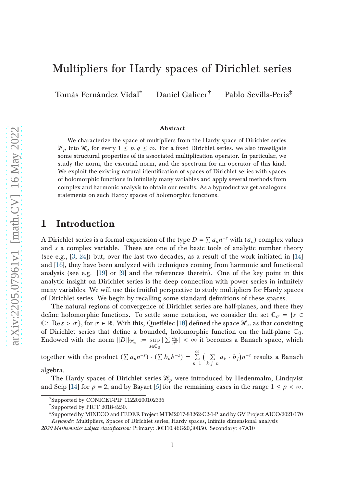# Multipliers for Hardy spaces of Dirichlet series

Tomás Fernández Vidal\* Daniel Galicer† Pablo Sevilla-Peris‡

#### Abstract

We characterize the space of multipliers from the Hardy space of Dirichlet series  $\mathcal{H}_p$  into  $\mathcal{H}_q$  for every  $1 \leq p, q \leq \infty$ . For a fixed Dirichlet series, we also investigate some structural properties of its associated multiplication operator. In particular, we study the norm, the essential norm, and the spectrum for an operator of this kind. We exploit the existing natural identification of spaces of Dirichlet series with spaces of holomorphic functions in infinitely many variables and apply several methods from complex and harmonic analysis to obtain our results. As a byproduct we get analogous statements on such Hardy spaces of holomorphic functions.

### 1 Introduction

A Dirichlet series is a formal expression of the type  $D = \sum a_n n^{-s}$  with  $(a_n)$  complex values and  $s$  a complex variable. These are one of the basic tools of analytic number theory (see e.g.,  $[3, 24]$  $[3, 24]$ ) but, over the last two decades, as a result of the work initiated in  $[14]$ and [\[16\]](#page-27-1), they have been analyzed with techniques coming from harmonic and functional analysis (see e.g. [\[19\]](#page-27-2) or [\[9\]](#page-27-3) and the references therein). One of the key point in this analytic insight on Dirichlet series is the deep connection with power series in infinitely many variables. We will use this fruitful perspective to study multipliers for Hardy spaces of Dirichlet series. We begin by recalling some standard definitions of these spaces.

The natural regions of convergence of Dirichlet series are half-planes, and there they define holomorphic functions. To settle some notation, we consider the set  $\mathbb{C}_{\sigma} = \{s \in$ C: Re  $s > \sigma$ }, for  $\sigma \in \mathbb{R}$ . With this, Queffélec [\[18\]](#page-27-4) defined the space  $\mathcal{H}_{\infty}$  as that consisting of Dirichlet series that define a bounded, holomorphic function on the half-plane  $\mathbb{C}_0$ . Endowed with the norm  $||D||_{\mathcal{H}_{\infty}} := \sup$  $s\in\tilde{\mathbb{C}}_0$  $|\sum \frac{a_n}{n^s}| < \infty$  it becomes a Banach space, which

together with the product  $(\sum a_n n^{-s}) \cdot (\sum b_n b^{-s}) = \sum^{\infty}$  $n=1$  $\sqrt{5}$  $k \cdot j = n$  $a_k \cdot b_j$ ) $n^{-s}$  results a Banach

algebra.

The Hardy spaces of Dirichlet series  $\mathcal{H}_p$  were introduced by Hedenmalm, Lindqvist and Seip [\[14\]](#page-27-0) for  $p = 2$ , and by Bayart [\[5\]](#page-26-1) for the remaining cases in the range  $1 \leq p < \infty$ .

<sup>\*</sup>Supported by CONICET-PIP 11220200102336

<sup>†</sup>Supported by PICT 2018-4250.

<sup>‡</sup>Supported by MINECO and FEDER Project MTM2017-83262-C2-1-P and by GV Project AICO/2021/170 Keywords: Multipliers, Spaces of Dirichlet series, Hardy spaces, Infinite dimensional analysis

<sup>2020</sup> Mathematics subject classification: Primary: 30H10,46G20,30B50. Secondary: 47A10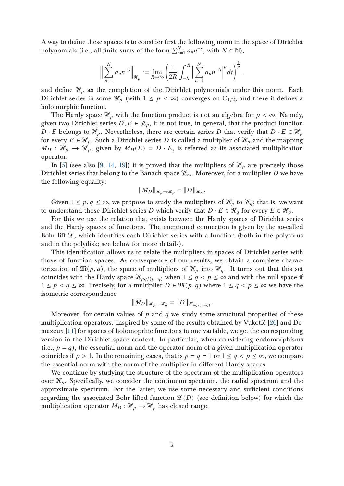A way to define these spaces is to consider first the following norm in the space of Dirichlet polynomials (i.e., all finite sums of the form  $\sum_{n=1}^{N} a_n n^{-s}$ , with  $N \in \mathbb{N}$ ),

$$
\Big\|\sum_{n=1}^N a_n n^{-s}\Big\|_{\mathcal{H}_p} := \lim_{R \to \infty} \left(\frac{1}{2R} \int_{-R}^R \Big|\sum_{n=1}^N a_n n^{-it}\Big|^p dt\right)^{\frac{1}{p}},
$$

and define  $\mathcal{H}_p$  as the completion of the Dirichlet polynomials under this norm. Each Dirichlet series in some  $\mathcal{H}_p$  (with  $1 \leq p < \infty$ ) converges on  $\mathbb{C}_{1/2}$ , and there it defines a holomorphic function.

The Hardy space  $\mathcal{H}_p$  with the function product is not an algebra for  $p < \infty$ . Namely, given two Dirichlet series  $D, E \in \mathcal{H}_p$ , it is not true, in general, that the product function  $D \cdot E$  belongs to  $\mathcal{H}_p$ . Nevertheless, there are certain series D that verify that  $D \cdot E \in \mathcal{H}_p$ for every  $E \in \mathcal{H}_p$ . Such a Dirichlet series D is called a multiplier of  $\mathcal{H}_p$  and the mapping  $M_D : \mathcal{H}_p \to \mathcal{H}_p$ , given by  $M_D(E) = D \cdot E$ , is referred as its associated multiplication operator.

In [\[5\]](#page-26-1) (see also [\[9,](#page-27-3) [14,](#page-27-0) [19\]](#page-27-2)) it is proved that the multipliers of  $\mathcal{H}_p$  are precisely those Dirichlet series that belong to the Banach space  $\mathcal{H}_{\infty}$ . Moreover, for a multiplier D we have the following equality:

$$
||M_D||_{\mathcal{H}_p\to\mathcal{H}_p}=||D||_{\mathcal{H}_{\infty}}.
$$

Given  $1 \leq p, q \leq \infty$ , we propose to study the multipliers of  $\mathcal{H}_p$  to  $\mathcal{H}_q$ ; that is, we want to understand those Dirichlet series D which verify that  $D \cdot E \in \mathcal{H}_q$  for every  $E \in \mathcal{H}_p$ .

For this we use the relation that exists between the Hardy spaces of Dirichlet series and the Hardy spaces of functions. The mentioned connection is given by the so-called Bohr lift  $\mathcal{L}$ , which identifies each Dirichlet series with a function (both in the polytorus and in the polydisk; see below for more details).

This identification allows us to relate the multipliers in spaces of Dirichlet series with those of function spaces. As consequence of our results, we obtain a complete characterization of  $\mathfrak{M}(p,q)$ , the space of multipliers of  $\mathcal{H}_p$  into  $\mathcal{H}_q$ . It turns out that this set coincides with the Hardy space  $\mathcal{H}_{pq/(p-q)}$  when  $1 \leq q < p \leq \infty$  and with the null space if  $1 \leq p < q \leq \infty$ . Precisely, for a multiplier  $D \in \mathfrak{M}(p,q)$  where  $1 \leq q < p \leq \infty$  we have the isometric correspondence

$$
||M_D||_{\mathcal{H}_p \to \mathcal{H}_q} = ||D||_{\mathcal{H}_{pq/(p-q)}}.
$$

Moreover, for certain values of  $p$  and  $q$  we study some structural properties of these multiplication operators. Inspired by some of the results obtained by Vukotić [\[26\]](#page-28-1) and Demazeux [\[11\]](#page-27-5) for spaces of holomoprhic functions in one variable, we get the corresponding version in the Dirichlet space context. In particular, when considering endomorphisms (i.e.,  $p = q$ ), the essential norm and the operator norm of a given multiplication operator coincides if  $p > 1$ . In the remaining cases, that is  $p = q = 1$  or  $1 \le q < p \le \infty$ , we compare the essential norm with the norm of the multiplier in different Hardy spaces.

We continue by studying the structure of the spectrum of the multiplication operators over  $\mathcal{H}_p$ . Specifically, we consider the continuum spectrum, the radial spectrum and the approximate spectrum. For the latter, we use some necessary and sufficient conditions regarding the associated Bohr lifted function  $\mathcal{L}(D)$  (see definition below) for which the multiplication operator  $M_D : \mathcal{H}_p \to \mathcal{H}_p$  has closed range.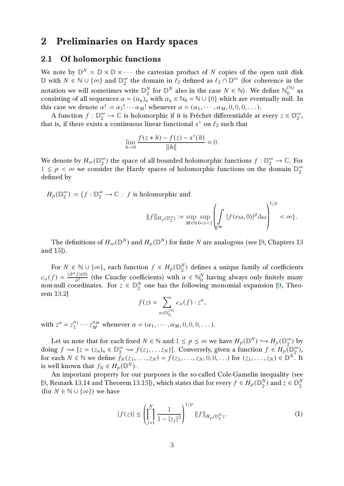## 2 Preliminaries on Hardy spaces

### 2.1 Of holomorphic functions

We note by  $\mathbb{D}^N = \mathbb{D} \times \mathbb{D} \times \cdots$  the cartesian product of N copies of the open unit disk  $\mathbb D$  with  $N \in \mathbb N \cup \{ \infty \}$  and  $\mathbb D_2^{\infty}$  $\frac{\infty}{2}$  the domain in  $\ell_2$  defined as  $\ell_2 \cap \mathbb{D}^{\infty}$  (for coherence in the notation we will sometimes write  $\mathbb{D}_{2}^{N}$  $\frac{N}{2}$  for  $\mathbb{D}^N$  also in the case  $N \in \mathbb{N}$ ). We define  $\mathbb{N}_0^{(\mathbb{N})}$  $\int_0^{(\infty)}$  as consisting of all sequences  $\alpha = (\alpha_n)_n^2$  with  $\alpha_n \in \mathbb{N}_0 = \mathbb{N} \cup \{0\}$  which are eventually null. In this case we denote  $\alpha! := \alpha_1! \cdots \alpha_M!$  whenever  $\alpha = (\alpha_1, \cdots, \alpha_M, 0, 0, 0, \dots)$ .

A function  $f: \mathbb{D}_2^{\infty} \to \mathbb{C}$  is holomorphic if it is Fréchet differentiable at every  $z \in \mathbb{D}_2^{\infty}$  $\frac{\infty}{2}$ , that is, if there exists a continuous linear functional  $x^*$  on  $\ell_2$  such that

$$
\lim_{h \to 0} \frac{f(z+h) - f(z) - x^*(h)}{\|h\|} = 0.
$$

We denote by  $H_{\infty}(\mathbb{D}_2^{\infty})$  $_2^{\infty}$ ) the space of all bounded holomorphic functions  $f : \mathbb{D}_2^{\infty} \to \mathbb{C}$ . For  $1 \leq p \leq \infty$  we consider the Hardy spaces of holomorphic functions on the domain  $\mathbb{D}_2^{\infty}$ 2 defined by

 $H_p(\mathbb{D}_2^{\infty})$  $2^{\infty}_{2}$  :  $f : \mathbb{D}_{2}^{\infty} \to \mathbb{C}$  : *f* is holomorphic and

$$
||f||_{H_p(\mathbb{D}_2^{\infty})} := \sup_{M \in \mathbb{N}} \sup_{0 < r < 1} \left( \int_{\mathbb{T}^M} |f(r\omega, 0)|^p \, \mathrm{d}\omega \right)^{1/p} < \infty \}.
$$

 $1/2$ 

The definitions of  $H_{\infty}(\mathbb{D}^N)$  and  $H_p(\mathbb{D}^N)$  for finite  $N$  are analogous (see [\[9,](#page-27-3) Chapters  $13$ and 15]).

For  $N \in \mathbb{N} \cup \{\infty\}$ , each function  $f \in H_p(\mathbb{D}_2^N)$  $_2^N$ ) defines a unique family of coefficients  $c_{\alpha}(f) = \frac{(\partial^{\alpha} f)(0)}{\alpha!}$  $\frac{f(0)}{a!}$  (the Cauchy coefficients) with  $\alpha \in \mathbb{N}_0^N$  $\frac{N}{0}$  having always only finitely many non-null coordinates. For  $z \in \mathbb{D}_{2}^{N}$  $\frac{N}{2}$  one has the following monomial expansion [\[9,](#page-27-3) Theorem 13.2]

$$
f(z) = \sum_{\alpha \in \mathbb{N}_0^{(\mathbb{N})}} c_{\alpha}(f) \cdot z^{\alpha},
$$

with  $z^{\alpha} = z_1^{\alpha_1}$  $a_1^{\alpha_1} \cdots a_M^{\alpha_M}$  whenever  $\alpha = (\alpha_1, \cdots, \alpha_M, 0, 0, 0, \dots).$ 

Let us note that for each fixed  $N \in \mathbb{N}$  and  $1 \leq p \leq \infty$  we have  $H_p(\mathbb{D}^N) \hookrightarrow H_p(\mathbb{D}_2^{\infty})$  $_{2}^{\infty}$ ) by doing  $f \rightsquigarrow [z = (z_n)_n \in \mathbb{D}_2^{\infty} \rightsquigarrow f(z_1, \ldots z_N)]$ . Conversely, given a function  $f \in H_p(\mathbb{D}_2^{\infty})$  $_2^{\infty}$ ), for each  $N \in \mathbb{N}$  we define  $f_N(z_1, \ldots, z_N) = f(z_1, \ldots, z_N, 0, 0, \ldots)$  for  $(z_1, \ldots, z_N) \in \mathbb{D}^{N}$ . It is well known that  $f_N \in H_p(\mathbb{D}^N)$ .

An important property for our purposes is the so-called Cole-Gamelin inequality (see [\[9,](#page-27-3) Remark 13.14 and Theorem 13.15]), which states that for every  $f \in H_p(\mathbb{D}_2^N)$  $_{2}^{N}$ ) and  $_{z} \in \mathbb{D}_{2}^{N}$ 2 (for  $N \in \mathbb{N} \cup \{\infty\}$ ) we have

<span id="page-2-0"></span>
$$
|f(z)| \le \left(\prod_{j=1}^{N} \frac{1}{1 - |z_j|^2}\right)^{1/p} ||f||_{H_p(\mathbb{D}_2^N)}.
$$
 (1)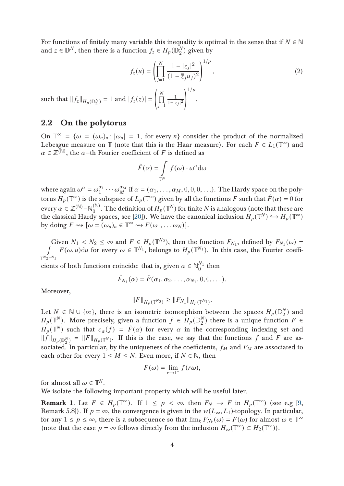For functions of finitely many variable this inequality is optimal in the sense that if  $N \in \mathbb{N}$ and  $z\in\mathbb{D}^N,$  then there is a function  $f_z\in H_p(\mathbb{D}^N_2)$  $_2^N$ ) given by

<span id="page-3-1"></span>
$$
f_z(u) = \left(\prod_{j=1}^N \frac{1 - |z_j|^2}{(1 - \overline{z}_j u_j)^2}\right)^{1/p},\tag{2}
$$

.

such that  $||f_z||_{H_p(\mathbb{D}_2^N)} = 1$  and  $|f_z(z)| =$  $\overline{1}$  $\prod$  $j=1$ 1  $1-|z_j|^2$ 

### 2.2 On the polytorus

On  $\mathbb{T}^{\infty} = {\omega = (\omega_n)_n : |\omega_n| = 1$ , for every  $n}$  consider the product of the normalized Lebesgue measure on  $\mathbb T$  (note that this is the Haar measure). For each  $F \in L_1(\mathbb T^{\infty})$  and  $\alpha \in \mathbb{Z}^{(\mathbb{N})}$ , the  $\alpha$ -th Fourier coefficient of F is defined as

$$
\hat{F}(\alpha) = \int_{\mathbb{T}^N} f(\omega) \cdot \omega^{\alpha} d\omega
$$

where again  $\omega^{\alpha} = \omega_1^{\alpha_1}$  $\frac{\alpha_1}{1} \cdots \omega_M^{\alpha_M}$  $\alpha_M^{\alpha_M}$  if  $\alpha = (\alpha_1, \ldots, \alpha_M, 0, 0, 0, \ldots).$  The Hardy space on the polytorus  $H_p(\mathbb{T}^\infty)$  is the subspace of  $L_p(\mathbb{T}^\infty)$  given by all the functions  $F$  such that  $\hat{F}(\alpha)=0$  for every  $\alpha \in \mathbb{Z}^{(\mathbb{N})}$  –  $\mathbb{N}_0^{(\mathbb{N})}$  $\mathcal{O}_0^{(\mathbb{N})}.$  The definition of  $H_p(\mathbb{T}^N)$  for finite  $N$  is analogous (note that these are the classical Hardy spaces, see [\[20\]](#page-27-6)). We have the canonical inclusion  $H_p(\mathbb{T}^N)\hookrightarrow H_p(\mathbb{T}^\infty)$ by doing  $F \rightsquigarrow [\omega = (\omega_n)_n \in \mathbb{T}^\infty \rightsquigarrow F(\omega_1, \dots \omega_N)].$ 

Given  $N_1 < N_2 \le \infty$  and  $F \in H_p(\mathbb{T}^{N_2})$ , then the function  $F_{N_1}$ , defined by  $F_{N_1}(\omega) = \int_{\mathbb{T}^{N_1}} F(\omega, \omega) d\omega$  for every  $\omega \in \mathbb{T}^{N_1}$  belongs to  $H(\mathbb{T}^{N_1})$ . In this case, the Fourier coeffi- $\mathbb{I}$  $N_{2}$  $-N_1$  $F(\omega, u)$ du for every  $\omega \in \mathbb{T}^{N_1}$ , belongs to  $H_p(\mathbb{T}^{N_1})$ . In this case, the Fourier coeffi-

cients of both functions coincide: that is, given  $\alpha \in \mathbb{N}_0^{N_1}$  $\int_0^{N_1}$  then

$$
\hat{F}_{N_1}(\alpha) = \hat{F}(\alpha_1, \alpha_2, \dots, \alpha_{N_1}, 0, 0, \dots).
$$

Moreover,

$$
||F||_{H_p(\mathbb{T}^{N_2})} \geq ||F_{N_1}||_{H_p(\mathbb{T}^{N_1})}.
$$

Let  $N \in \mathbb{N} \cup \{\infty\}$ , there is an isometric isomorphism between the spaces  $H_p(\mathbb{D}_2^N)$  $_2^N$ ) and  $H_p(\mathbb{T}^N)$ . More precisely, given a function  $f\,\in\, \overline{H}_p(\mathbb{D}_2^N)$  $2^N$ ) there is a unique function  $F \in$  $H_p(\mathbb{T}^N)$  such that  $c_\alpha(f) = \hat{F}(\alpha)$  for every  $\alpha$  in the corresponding indexing set and  $||f||_{H_p(\mathbb{D}_2^N)} = ||F||_{H_p(\mathbb{T}^N)}$ . If this is the case, we say that the functions f and F are associated. In particular, by the uniqueness of the coefficients,  $f_M$  and  $F_M$  are associated to each other for every  $1 \leq M \leq N$ . Even more, if  $N \in \mathbb{N}$ , then

$$
F(\omega) = \lim_{r \to 1^-} f(r\omega),
$$

for almost all  $\omega \in \mathbb{T}^N$ .

We isolate the following important property which will be useful later.

<span id="page-3-0"></span>**Remark 1.** Let  $F \in H_p(\mathbb{T}^\infty)$ . If  $1 \leq p \leq \infty$ , then  $F_N \to F$  in  $H_p(\mathbb{T}^\infty)$  (see e.g [\[9,](#page-27-3) Remark 5.8]). If  $p = \infty$ , the convergence is given in the  $w(L_{\infty}, L_1)$ -topology. In particular, for any  $1 \le p \le \infty$ , there is a subsequence so that  $\lim_k F_{N_k}(\omega) = F(\omega)$  for almost  $\omega \in \mathbb{T}^{\infty}$ (note that the case  $p = \infty$  follows directly from the inclusion  $H_{\infty}(\mathbb{T}^{\infty}) \subset H_2(\mathbb{T}^{\infty})$ ).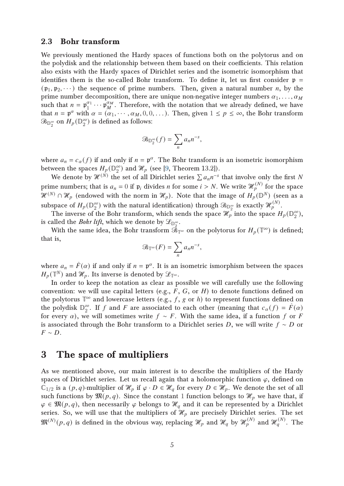### 2.3 Bohr transform

We previously mentioned the Hardy spaces of functions both on the polytorus and on the polydisk and the relationship between them based on their coefficients. This relation also exists with the Hardy spaces of Dirichlet series and the isometric isomorphism that identifies them is the so-called Bohr transform. To define it, let us first consider  $p =$  $(\mathfrak{p}_1, \mathfrak{p}_2, \dots)$  the sequence of prime numbers. Then, given a natural number *n*, by the prime number decomposition, there are unique non-negative integer numbers  $\alpha_1, \ldots, \alpha_M$ such that  $n = \mathfrak{p}_1^{\alpha_1} \cdots \mathfrak{p}_M^{\alpha_M}$  $\frac{d^{a}M}{d}$ . Therefore, with the notation that we already defined, we have that  $n = \mathfrak{p}^{\alpha}$  with  $\alpha = (\alpha_1, \dots, \alpha_M, 0, 0, \dots)$ . Then, given  $1 \leq p \leq \infty$ , the Bohr transform  $\mathfrak{B}_{\mathbb{D}_2^{\infty}}$  on  $H_p(\mathbb{D}_2^{\infty})$  $_2^{\infty}$ ) is defined as follows:

$$
\mathfrak{B}_{\mathbb{D}_2^{\infty}}(f)=\sum_n a_n n^{-s},
$$

where  $a_n = c_\alpha(f)$  if and only if  $n = \mathfrak{p}^\alpha$ . The Bohr transform is an isometric isomorphism between the spaces  $H_p(\mathbb{D}_2^{\infty})$  $_2^{\infty})$  and  $\mathcal{H}_p$  (see [\[9,](#page-27-3) Theorem 13.2]).

We denote by  $\mathcal{H}^{(\hat{N})}$  the set of all Dirichlet series  $\sum a_n n^{-s}$  that involve only the first N prime numbers; that is  $a_n=0$  if  $\mathfrak{p}_i$  divides  $n$  for some  $i>N.$  We write  $\mathscr{H}^{(N)}_p$  $\int_{p}^{\left(N\right)}$  for the space  $\mathcal{H}^{(N)} \cap \mathcal{H}_p$  (endowed with the norm in  $\mathcal{H}_p$ ). Note that the image of  $H_p(\mathbb{D}^N)$  (seen as a subspace of  $H_p(\mathbb{D}_2^{\infty})$  $_2^\infty$ ) with the natural identification) through  $\mathscr{B}_{\mathbb{D}_2^\infty}$  is exactly  $\mathscr{H}_{p}^{(N)}.$ 

The inverse of the Bohr transform, which sends the space  $\mathcal{H}_p$  into the space  $H_p(\mathbb{D}_2^{\infty})$  $_{2}^{\infty}$ ), is called the *Bohr lift*, which we denote by  $\mathscr{L}_{\mathbb{D}_2^\infty}.$ 

With the same idea, the Bohr transform  $\tilde{\mathcal{B}}_{\mathbb{T}^{\infty}}$  on the polytorus for  $H_p(\mathbb{T}^{\infty})$  is defined; that is,

$$
\mathfrak{B}_{\mathbb{T}^\infty}(F)=\sum_n a_n n^{-s},
$$

where  $a_n = \hat{F}(\alpha)$  if and only if  $n = \mathfrak{p}^{\alpha}$ . It is an isometric ismorphism between the spaces  $H_p(\mathbb{T}^N)$  and  $\mathscr{H}_p$ . Its inverse is denoted by  $\mathscr{L}_{\mathbb{T}^\infty}.$ 

In order to keep the notation as clear as possible we will carefully use the following convention: we will use capital letters (e.g.,  $F$ ,  $G$ , or  $H$ ) to denote functions defined on the polytorus  $\mathbb{T}^\infty$  and lowercase letters (e.g., f, g or h) to represent functions defined on the polydisk  $\mathbb{D}_2^{\infty}$  $_{2}^{\infty}$ . If f and F are associated to each other (meaning that  $c_{\alpha}(f) = \hat{F}(\alpha)$ for every  $\alpha$ ), we will sometimes write  $f \sim F$ . With the same idea, if a function f or F is associated through the Bohr transform to a Dirichlet series D, we will write  $f \sim D$  or  $F \sim D$ .

## 3 The space of multipliers

As we mentioned above, our main interest is to describe the multipliers of the Hardy spaces of Dirichlet series. Let us recall again that a holomorphic function  $\varphi$ , defined on  $\mathbb{C}_{1/2}$  is a  $(p,q)$ -multiplier of  $\mathcal{H}_p$  if  $\varphi \cdot D \in \mathcal{H}_q$  for every  $D \in \mathcal{H}_p$ . We denote the set of all such functions by  $\mathfrak{M}(p,q)$ . Since the constant 1 function belongs to  $\mathcal{H}_p$  we have that, if  $\varphi \in \mathfrak{M}(p,q)$ , then necessarily  $\varphi$  belongs to  $\mathcal{H}_q$  and it can be represented by a Dirichlet series. So, we will use that the multipliers of  $\mathcal{H}_p$  are precisely Dirichlet series. The set  $\mathfrak{M}^{(N)}(p,q)$  is defined in the obvious way, replacing  $\mathscr{H}_{p}$  and  $\mathscr{H}_{q}^{(N)}$  and  $\mathscr{H}_{q}^{(N)}.$  The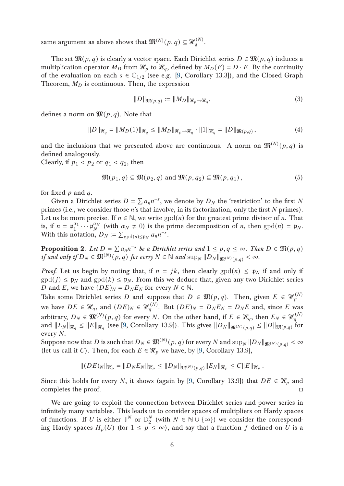same argument as above shows that  $\mathfrak{M}^{(N)}(p,q)\subseteq \mathscr{H}^{(N)}_q$  $q^{(IV)}$ .

The set  $\mathfrak{M}(p,q)$  is clearly a vector space. Each Dirichlet series  $D \in \mathfrak{M}(p,q)$  induces a multiplication operator  $M_D$  from  $\mathcal{H}_p$  to  $\mathcal{H}_q$ , defined by  $M_D(E) = D \cdot E$ . By the continuity of the evaluation on each  $s \in \mathbb{C}_{1/2}$  (see e.g. [\[9,](#page-27-3) Corollary 13.3]), and the Closed Graph Theorem,  $M_D$  is continuous. Then, the expression

<span id="page-5-0"></span>
$$
||D||_{\mathfrak{M}(p,q)} := ||M_D||_{\mathcal{H}_p \to \mathcal{H}_q},\tag{3}
$$

defines a norm on  $\mathfrak{M}(p,q)$ . Note that

<span id="page-5-2"></span>
$$
||D||_{\mathcal{H}_q} = ||M_D(1)||_{\mathcal{H}_q} \le ||M_D||_{\mathcal{H}_p \to \mathcal{H}_q} \cdot ||1||_{\mathcal{H}_q} = ||D||_{\mathfrak{M}(p,q)}, \tag{4}
$$

and the inclusions that we presented above are continuous. A norm on  $\mathfrak{M}^{(N)}(p,q)$  is defined analogously.

Clearly, if  $p_1 < p_2$  or  $q_1 < q_2$ , then

<span id="page-5-3"></span>
$$
\mathfrak{M}(p_1, q) \subseteq \mathfrak{M}(p_2, q) \text{ and } \mathfrak{M}(p, q_2) \subseteq \mathfrak{M}(p, q_1), \tag{5}
$$

for fixed  $p$  and  $q$ .

Given a Dirichlet series  $D = \sum a_n n^{-s}$ , we denote by  $D_N$  the 'restriction' to the first N primes (i.e., we consider those  $n$ 's that involve, in its factorization, only the first  $N$  primes). Let us be more precise. If  $n \in \mathbb{N}$ , we write  $\text{gpd}(n)$  for the greatest prime divisor of *n*. That is, if  $n = \mathfrak{p}_1^{\alpha_1} \cdots \mathfrak{p}_N^{\alpha_N}$  $_{N}^{\alpha_{N}}$  (with  $\alpha_{N} \neq 0$ ) is the prime decomposition of *n*, then  $\text{gpd}(n) = \mathfrak{p}_{N}$ . With this notation,  $D_N := \sum_{\text{gpd}(n) \leq p_N} a_n n^{-s}$ .

<span id="page-5-1"></span>**Proposition 2.** Let  $D = \sum a_n n^{-s}$  be a Dirichlet series and  $1 \leq p, q \leq \infty$ . Then  $D \in \mathfrak{M}(p,q)$ if and only if  $D_N \in \mathfrak{M}^{(N)}(p,q)$  for every  $N \in \mathbb{N}$  and  $\sup_N ||D_N||_{\mathfrak{M}^{(N)}(p,q)} < \infty$ .

*Proof.* Let us begin by noting that, if  $n = jk$ , then clearly  $\text{gpd}(n) \leq p_N$  if and only if  $\text{gpd}(j) \leq \mathfrak{p}_N$  and  $\text{gpd}(k) \leq \mathfrak{p}_N$ . From this we deduce that, given any two Dirichlet series D and E, we have  $(DE)_N = D_N E_N$  for every  $N \in \mathbb{N}$ .

Take some Dirichlet series  $D$  and suppose that  $D\,\in\,\mathfrak{M}(p,q).$  Then, given  $E\,\in\,\mathscr{H}_{p}^{(N)}$  $\overline{p}$ we have  $DE \in \mathcal{H}_q$ , and  $(DE)_N \in \mathcal{H}_q^{(N)}$ . But  $(DE)_N = D_N E_N = D_N E$  and, since E was arbitrary,  $D_N\in \mathfrak M^{(N)}(p,q)$  for every  $N.$  On the other hand, if  $E\in \mathscr H_q,$  then  $E_N\in \mathscr H_q^{(N)}$  $\overline{q}$ and  $||E_N||_{\mathscr{H}_q}\leq ||E||_{\mathscr{H}_q}$  (see [\[9,](#page-27-3) Corollary 13.9]). This gives  $||D_N||_{\mathfrak{M}^{(N)}(p,q)}\leq ||D||_{\mathfrak{M}(p,q)}$  for every N.

Suppose now that  $D$  is such that  $D_N\in \mathfrak M^{(N)}(p,q)$  for every  $N$  and  $\sup_N\|D_N\|_{\mathfrak M^{(N)}(p,q)}<\infty$ (let us call it C). Then, for each  $E \in \mathcal{H}_p$  we have, by [\[9,](#page-27-3) Corollary 13.9],

$$
||(DE)_N||_{\mathcal{H}_p} = ||D_N E_N||_{\mathcal{H}_p} \le ||D_N||_{\mathfrak{M}^{(N)}(p,q)} ||E_N||_{\mathcal{H}_p} \le C||E||_{\mathcal{H}_p}.
$$

Since this holds for every N, it shows (again by [\[9,](#page-27-3) Corollary 13.9]) that  $DE \in \mathcal{H}_p$  and completes the proof.

We are going to exploit the connection between Dirichlet series and power series in infinitely many variables. This leads us to consider spaces of multipliers on Hardy spaces of functions. If U is either  $\mathbb{T}^N$  or  $\mathbb{D}_2^N$  $\frac{N}{2}$  (with  $N \in \mathbb{N} \cup \{\infty\}$ ) we consider the corresponding Hardy spaces  $H_p(U)$  (for  $1 \leq p \leq \infty$ ), and say that a function f defined on U is a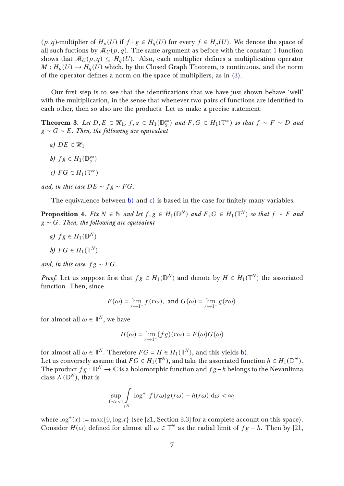$(p,q)$ -multiplier of  $H_p(U)$  if  $f \cdot g \in H_q(U)$  for every  $f \in H_p(U)$ . We denote the space of all such fuctions by  $\mathcal{M}_U(p,q)$ . The same argument as before with the constant 1 function shows that  $\mathcal{M}_U(p,q) \subseteq H_q(U)$ . Also, each multiplier defines a multiplication operator  $M : H_p(U) \to H_q(U)$  which, by the Closed Graph Theorem, is continuous, and the norm of the operator defines a norm on the space of multipliers, as in [\(3\)](#page-5-0).

Our first step is to see that the identifications that we have just shown behave 'well' with the multiplication, in the sense that whenever two pairs of functions are identified to each other, then so also are the products. Let us make a precise statement.

<span id="page-6-5"></span><span id="page-6-4"></span>**Theorem 3.** Let  $D, E \in \mathcal{H}_1, f, g \in H_1(\mathbb{D}_2^{\infty})$  $\binom{\infty}{2}$  and  $F, G \in H_1(\mathbb{T}^{\infty})$  so that  $f \sim F \sim D$  and  $g \sim G \sim E$ . Then, the following are equivalent

- <span id="page-6-0"></span>a)  $DE \in \mathcal{H}_1$
- <span id="page-6-1"></span>b)  $fg \in H_1(\mathbb{D}_2^\infty)$  $_{2}^{\infty}$
- c)  $FG \in H_1(\mathbb{T}^\infty)$

and, in this case  $DE \sim fg \sim FG$ .

The equivalence between [b\)](#page-6-0) and [c\)](#page-6-1) is based in the case for finitely many variables.

<span id="page-6-6"></span>**Proposition 4.** Fix  $N \in \mathbb{N}$  and let  $f, g \in H_1(\mathbb{D}^N)$  and  $F, G \in H_1(\mathbb{T}^N)$  so that  $f \sim F$  and  $g \sim G$ . Then, the following are equivalent

<span id="page-6-3"></span><span id="page-6-2"></span>a)  $fg \in H_1(\mathbb{D}^N)$ 

$$
b)\ FG\in H_1(\mathbb{T}^N)
$$

and, in this case,  $fg \sim FG$ .

*Proof.* Let us suppose first that  $fg \in H_1(\mathbb{D}^N)$  and denote by  $H \in H_1(\mathbb{T}^N)$  the associated function. Then, since

$$
F(\omega) = \lim_{r \to 1^{-}} f(r\omega), \text{ and } G(\omega) = \lim_{r \to 1^{-}} g(r\omega)
$$

for almost all  $\omega \in \mathbb{T}^N$ , we have

$$
H(\omega) = \lim_{r \to 1^{-}} (fg)(r\omega) = F(\omega)G(\omega)
$$

for almost all  $\omega \in \mathbb{T}^N$ . Therefore  $FG = H \in H_1(\mathbb{T}^N)$ , and this yields [b\).](#page-6-2)

Let us conversely assume that  $FG\in H_1(\mathbb{T}^N),$  and take the associated function  $h\in H_1(\mathbb{D}^N).$ The product  $fg : \mathbb{D}^N \to \mathbb{C}$  is a holomorphic function and  $fg-h$  belongs to the Nevanlinna class  $\mathcal{N}(\mathbb{D}^{N})$ , that is

$$
\sup_{0 < r < 1} \int_{\mathbb{T}^N} \log^+ |f(r\omega)g(r\omega) - h(r\omega)| \, \mathrm{d}\omega < \infty
$$

where  $\log^+(x) := \max\{0, \log x\}$  (see [\[21,](#page-27-7) Section 3.3] for a complete account on this space). Consider  $H(\omega)$  defined for almost all  $\omega \in \mathbb{T}^N$  as the radial limit of  $fg - h$ . Then by [\[21,](#page-27-7)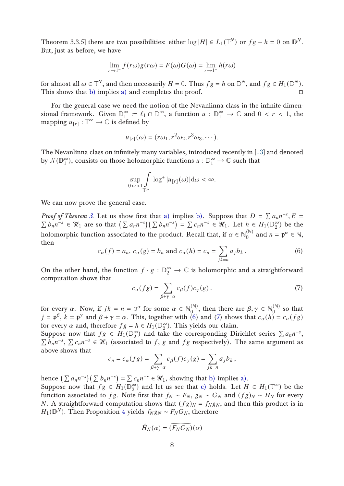Theorem 3.3.5] there are two possibilities: either  $\log|H| \in L_1(\mathbb{T}^N)$  or  $fg - h = 0$  on  $\mathbb{D}^N$ . But, just as before, we have

$$
\lim_{r \to 1^{-}} f(r\omega)g(r\omega) = F(\omega)G(\omega) = \lim_{r \to 1^{-}} h(r\omega)
$$

for almost all  $\omega\in\mathbb{T}^N,$  and then necessarily  $H=0.$  Thus  $fg=h$  on  $\mathbb{D}^N,$  and  $fg\in H_1(\mathbb{D}^N).$ This shows that [b\)](#page-6-2) implies [a\)](#page-6-3) and completes the proof.  $\square$ 

For the general case we need the notion of the Nevanlinna class in the infinite dimensional framework. Given  $\mathbb{D}_1^{\infty}$  $\frac{\infty}{1} := \ell_1 \cap \mathbb{D}^{\infty}$ , a function  $u : \mathbb{D}_1^{\infty} \to \mathbb{C}$  and  $0 < r < 1$ , the mapping  $u_{[r]} : \mathbb{T}^\infty \to \mathbb{C}$  is defined by

$$
u_{[r]}(\omega) = (r\omega_1, r^2\omega_2, r^3\omega_3, \cdots).
$$

The Nevanlinna class on infinitely many variables, introduced recently in [\[13\]](#page-27-8) and denoted by  $\mathcal{N}(\mathbb{D}_1^{\infty})$  $\binom{\infty}{1}$ , consists on those holomorphic functions  $u : \mathbb{D}_1^{\infty} \to \mathbb{C}$  such that

$$
\sup_{0 < r < 1} \int\limits_{\mathbb{T}^{\infty}} \log^{+} |u_{[r]}(\omega)| \, \mathrm{d}\omega < \infty.
$$

We can now prove the general case.

*Proof of Theorem [3.](#page-6-4)* Let us show first that [a\)](#page-6-5) implies [b\).](#page-6-0) Suppose that  $D = \sum a_n n^{-s}$ ,  $E = \sum b_n n^{-s} \in \mathcal{H}_1$  are so that  $(\sum a_n n^{-s})(\sum b_n n^{-s}) = \sum c_n n^{-s} \in \mathcal{H}_1$ . Let  $h \in H_1(\mathbb{D}_0^{\infty})$  be the  $b_n n^{-s} \in \mathcal{H}_1$  are so that  $\left(\sum a_n n^{-s}\right) \left(\sum b_n n^{-s}\right) = \sum c_n n^{-s} \in \mathcal{H}_1$ . Let  $h \in H_1(\mathbb{D}_2^{\infty})$  $_2^{\infty}$ ) be the holomorphic function associated to the product. Recall that, if  $\alpha \in \mathbb{N}_0^{(\mathbb{N})}$  $\mathfrak{p}^{(\mathbb{N})}_{0}$  and  $n = \mathfrak{p}^{\alpha} \in \mathbb{N}$ , then

<span id="page-7-0"></span>
$$
c_{\alpha}(f) = a_n, c_{\alpha}(g) = b_n \text{ and } c_{\alpha}(h) = c_n = \sum_{jk=n} a_j b_k.
$$
 (6)

On the other hand, the function  $f \cdot g : \mathbb{D}_2^{\infty} \to \mathbb{C}$  is holomorphic and a straightforward computation shows that

<span id="page-7-1"></span>
$$
c_{\alpha}(fg) = \sum_{\beta + \gamma = \alpha} c_{\beta}(f)c_{\gamma}(g). \tag{7}
$$

for every  $\alpha$ . Now, if  $jk = n = \mathfrak{p}^{\alpha}$  for some  $\alpha \in \mathbb{N}_0^{(\mathbb{N})}$  $\mathcal{O}_0^{(\mathbb{N})}$ , then there are  $\beta, \gamma \in \mathbb{N}_0^{(\mathbb{N})}$  $\int_{0}^{\sqrt{y}}$  so that  $j = \mathfrak{p}^{\beta}, k = \mathfrak{p}^{\gamma}$  and  $\beta + \gamma = \alpha$ . This, together with [\(6\)](#page-7-0) and [\(7\)](#page-7-1) shows that  $c_{\alpha}(h) = c_{\alpha}(fg)$ for every  $\alpha$  and, therefore  $fg = h \in H_1(\mathbb{D}_2^{\infty})$  $_{2}^{\infty}$ ). This yields our claim.

Suppose now that  $fg \in H_1(\mathbb{D}_2^{\infty})$ Suppose now that  $fg \in H_1(\mathbb{D}_2^{\infty})$  and take the corresponding Dirichlet series  $\sum a_n n^{-s}$ ,  $\sum c_n n^{-s} \in \mathcal{H}_1$  (associated to f, g and f g respectively). The same argument as  $\vec{b}_n n^{-s}$ ,  $\sum c_n n^{-s} \in \mathcal{H}_1$  (associated to f, g and fg respectively). The same argument as above shows that

$$
c_n = c_\alpha(fg) = \sum_{\beta + \gamma = \alpha} c_\beta(f)c_\gamma(g) = \sum_{jk=n} a_j b_k,
$$

hence  $(\sum a_n n^{-s})(\sum b_n n^{-s}) = \sum c_n n^{-s} \in \mathcal{H}_1$ , showing that [b\)](#page-6-0) implies [a\).](#page-6-5) Suppose now that  $fg \in H_1(\mathbb{D}_2^\infty)$ 

 $_2^{\infty}$ ) and let us see that [c\)](#page-6-1) holds. Let  $H \in H_1(\mathbb{T}^{\infty})$  be the function associated to fg. Note first that  $f_N \sim F_N$ ,  $g_N \sim G_N$  and  $(fg)_N \sim H_N$  for every *N*. A straightforward computation shows that  $(fg)_N = f_N g_N$ , and then this product is in  $H_1(\mathbb{D}^N)$ . Then Proposition [4](#page-6-6) yields  $f_N g_N \sim F_N G_N$ , therefore

$$
\hat{H}_N(\alpha) = (\widehat{F_N G_N})(\alpha)
$$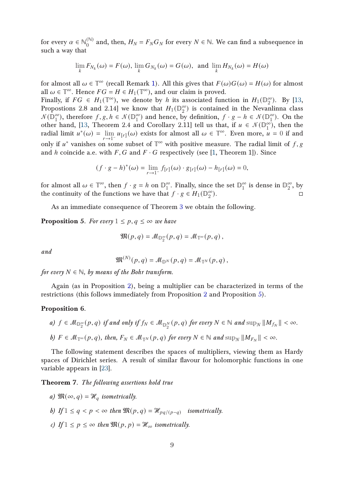for every  $\alpha \in \mathbb{N}_0^{(\mathbb{N})}$  $\binom{N}{0}$  and, then,  $H_N = F_N G_N$  for every  $N \in \mathbb{N}$ . We can find a subsequence in such a way that

$$
\lim_{k} F_{N_k}(\omega) = F(\omega), \lim_{k} G_{N_k}(\omega) = G(\omega), \text{ and } \lim_{k} H_{N_k}(\omega) = H(\omega)
$$

for almost all  $\omega \in \mathbb{T}^{\infty}$  (recall Remark [1\)](#page-3-0). All this gives that  $F(\omega)G(\omega) = H(\omega)$  for almost all  $\omega \in \mathbb{T}^{\infty}$ . Hence  $FG = H \in H_1(\mathbb{T}^{\infty})$ , and our claim is proved.

Finally, if  $FG \in H_1(\mathbb{T}^\infty)$ , we denote by h its associated function in  $H_1(\mathbb{D}_2^\infty)$  $_{2}^{\infty}$ ). By [\[13,](#page-27-8) Propostions 2.8 and 2.14] we know that  $H_1(\mathbb{D}_2^\infty)$  $_2^{\infty}$ ) is contained in the Nevanlinna class  $\mathcal{N}(\overline{\mathbb{D}}_1^{\infty})$  $_1^{\infty}$ ), therefore  $f, g, h \in \mathcal{N}(\mathbb{D}_1^{\infty})$  $j^{(n)}$  and hence, by definition,  $f \cdot g - h \in \mathcal{N}(\mathbb{D}_1^{\infty})$  $_{1}^{\infty}$ ). On the other hand, [\[13,](#page-27-8) Theorem 2.4 and Corollary 2.11] tell us that, if  $u \in \mathcal{N}(\mathbb{D}_1^{\infty})$  $_1^{\infty}$ ), then the radial limit  $u^*(\omega) = \lim_{r \to 1^-} u_{[r]}(\omega)$  exists for almost all  $\omega \in \mathbb{T}^\infty$ . Even more,  $\mu = 0$  if and only if  $u^*$  vanishes on some subset of  $\mathbb{T}^\infty$  with positive measure. The radial limit of  $f, g$ and h coincide a.e. with  $F$ ,  $G$  and  $F \cdot G$  respectively (see [\[1,](#page-26-2) Theorem 1]). Since

$$
(f \cdot g - h)^*(\omega) = \lim_{r \to 1^-} f_{[r]}(\omega) \cdot g_{[r]}(\omega) - h_{[r]}(\omega) = 0,
$$

for almost all  $\omega \in \mathbb{T}^{\infty}$ , then  $f \cdot g = h$  on  $\mathbb{D}_1^{\infty}$  $_{1}^{\infty}$ . Finally, since the set  $\mathbb{D}_{1}^{\infty}$  $\frac{\infty}{1}$  is dense in  $\mathbb{D}_2^{\infty}$  $\frac{\infty}{2}$ , by the continuity of the functions we have that  $f \cdot g \in H_1(\mathbb{D}_2^\infty)$ 2  $\Box$ ).

As an immediate consequence of Theorem [3](#page-6-4) we obtain the following.

<span id="page-8-0"></span>**Proposition 5.** For every  $1 \leq p, q \leq \infty$  we have

$$
\mathfrak{M}(p,q) = \mathcal{M}_{\mathbb{D}_2^{\infty}}(p,q) = \mathcal{M}_{\mathbb{T}^{\infty}}(p,q),
$$

and

$$
\mathfrak{M}^{(N)}(p,q)=\mathcal{M}_{\mathbb{D}^N}(p,q)=\mathcal{M}_{\mathbb{T}^N}(p,q)\,,
$$

for every  $N \in \mathbb{N}$ , by means of the Bohr transform.

Again (as in Proposition [2\)](#page-5-1), being a multiplier can be characterized in terms of the restrictions (this follows immediately from Proposition [2](#page-5-1) and Proposition [5\)](#page-8-0).

#### <span id="page-8-4"></span>Proposition 6.

a)  $f \in \mathcal{M}_{\mathbb{D}_2^{\infty}}(p,q)$  if and only if  $f_N \in \mathcal{M}_{\mathbb{D}_2^{\times}}(p,q)$  for every  $N \in \mathbb{N}$  and  $\sup_N ||M_{f_N}|| < \infty$ . b)  $F \in \mathcal{M}_{\mathbb{T}^{\infty}}(p,q)$ , then,  $F_N \in \mathcal{M}_{\mathbb{T}^N}(p,q)$  for every  $N \in \mathbb{N}$  and  $\sup_N ||M_{F_N}|| < \infty$ .

The following statement describes the spaces of multipliers, viewing them as Hardy spaces of Dirichlet series. A result of similar flavour for holomorphic functions in one variable appears in [\[23\]](#page-28-2).

#### <span id="page-8-1"></span>Theorem 7. The following assertions hold true

- <span id="page-8-2"></span>a)  $\mathfrak{M}(\infty, q) = \mathcal{H}_q$  isometrically.
- <span id="page-8-3"></span>b) If  $1 \leq q < p < \infty$  then  $\mathfrak{M}(p,q) = \mathcal{H}_{pq/(p-q)}$  isometrically.
- c) If  $1 \leq p \leq \infty$  then  $\mathfrak{M}(p, p) = \mathcal{H}_{\infty}$  isometrically.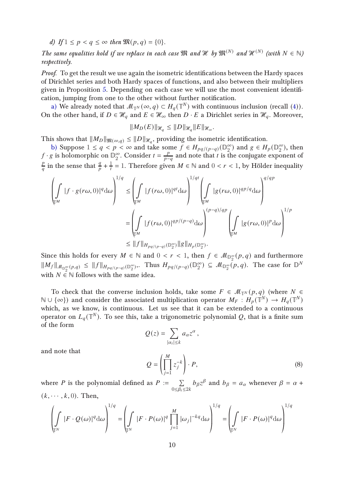<span id="page-9-1"></span>d) If  $1 \leq p < q \leq \infty$  then  $\mathfrak{M}(p,q) = \{0\}.$ 

The same equalities hold if we replace in each case  $\mathfrak{M}$  and  $\mathcal{H}$  by  $\mathfrak{M}^{(N)}$  and  $\mathcal{H}^{(N)}$  (with  $N \in \mathbb{N}$ ) respectively.

Proof. To get the result we use again the isometric identifications between the Hardy spaces of Dirichlet series and both Hardy spaces of functions, and also between their multipliers given in Proposition [5.](#page-8-0) Depending on each case we will use the most convenient identification, jumping from one to the other without further notification.

[a\)](#page-8-1) We already noted that  $\mathcal{M}_{\mathbb{T}^N}(\infty,q) \subset H_q(\mathbb{T}^N)$  with continuous inclusion (recall [\(4\)](#page-5-2)). On the other hand, if  $D \in \mathcal{H}_q$  and  $E \in \mathcal{H}_\infty$  then  $D \cdot E$  a Dirichlet series in  $\mathcal{H}_q$ . Moreover,

$$
||M_D(E)||_{\mathcal{H}_q} \le ||D||_{\mathcal{H}_q} ||E||_{\mathcal{H}_{\infty}}.
$$

This shows that  $||M_D||_{\mathfrak{M}(\infty,q)} \leq ||D||_{\mathscr{H}_q}$ , providing the isometric identification.

[b\)](#page-8-2) Suppose  $1 \le q < p < \infty$  and take some  $f \in H_{pq/(p-q)}(\mathbb{D}_2^{\infty})$  $_{2}^{\infty}$ ) and  $g \in H_{p}(\mathbb{D}_{2}^{\infty})$  $_2^{\infty}$ ), then  $f \cdot g$  is holomorphic on  $\mathbb{D}_2^{\infty}$  $_{2}^{\infty}$ . Consider  $t = \frac{p}{p-1}$  $\frac{p}{p-q}$  and note that  $t$  is the conjugate exponent of  $\overline{p}$  $\frac{p}{q}$  in the sense that  $\frac{q}{p} + \frac{1}{t}$  $\frac{1}{t}$  = 1. Therefore given  $M \in \mathbb{N}$  and  $0 < r < 1$ , by Hölder inequality

$$
\left(\int_{\mathbb{T}^M} |f \cdot g(r\omega, 0)|^q d\omega \right)^{1/q} \leq \left(\int_{\mathbb{T}^M} |f(r\omega, 0)|^{qt} d\omega \right)^{1/qt} \left(\int_{\mathbb{T}^M} |g(r\omega, 0)|^{qp/q} d\omega \right)^{q/qp}
$$

$$
= \left(\int_{\mathbb{T}^M} |f(r\omega, 0)|^{qp/(p-q)} d\omega \right)^{(p-q)/qp} \left(\int_{\mathbb{T}^M} |g(r\omega, 0)|^p d\omega \right)^{1/p}
$$

$$
\leq ||f||_{H_{pq/(p-q)}(\mathbb{D}_2^{\infty})} ||g||_{H_p(\mathbb{D}_2^{\infty})}.
$$

Since this holds for every  $M \in \mathbb{N}$  and  $0 < r < 1$ , then  $f \in \mathcal{M}_{\mathbb{D}_2^{\infty}}(p,q)$  and furthermore  $||M_f||_{\mathcal{M}_{\mathbb{D}_2^{\infty}}(p,q)} \leq ||f||_{H_{pq/(p-q)}(\mathbb{D}_2^{\infty})}$ . Thus  $H_{pq/(p-q)}(\mathbb{D}_2^{\infty})$  $\binom{\infty}{2} \subseteq \mathcal{M}_{\mathbb{D}_2^{\infty}}(p,q)$ . The case for  $\mathbb{D}^N$ with  $N \in \mathbb{N}$  follows with the same idea.

To check that the converse inclusion holds, take some  $F \in \mathcal{M}_{\mathbb{T}^N}(p,q)$  (where  $N \in$ N∪{∞}) and consider the associated multiplication operator  $M_F : H_p(\mathbb{T}^N) \to H_q(\mathbb{T}^N)$ which, as we know, is continuous. Let us see that it can be extended to a continuous operator on  $L_q(\mathbb{T}^N).$  To see this, take a trigonometric polynomial  $Q,$  that is a finite sum of the form

$$
Q(z) = \sum_{|\alpha_i| \le k} a_{\alpha} z^{\alpha},
$$
  

$$
Q = \left(\prod_{i=1}^{M} z_i^{-k}\right) \cdot P,
$$
 (8)

and note that

where *P* is the polynomial defined as 
$$
P := \sum_{0 \le \beta_i \le 2k} b_{\beta} z^{\beta}
$$
 and  $b_{\beta} = a_{\alpha}$  whenever  $\beta = \alpha + (k, \dots, k, 0)$ . Then,

<span id="page-9-0"></span> $j=1$ 

$$
\left(\int_{\mathbb{T}^N} |F \cdot Q(\omega)|^q d\omega \right)^{1/q} = \left(\int_{\mathbb{T}^N} |F \cdot P(\omega)|^q \prod_{j=1}^M |\omega_j|^{-kq} d\omega \right)^{1/q} = \left(\int_{\mathbb{T}^N} |F \cdot P(\omega)|^q d\omega \right)^{1/q}
$$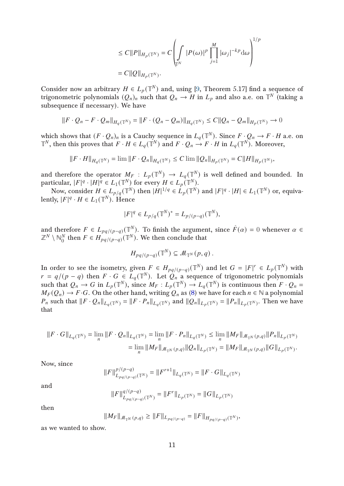$$
\leq C||P||_{H_p(\mathbb{T}^N)} = C\left(\int\limits_{\mathbb{T}^N} |P(\omega)|^p \prod_{j=1}^M |\omega_j|^{-kp} d\omega\right)^{1/p}
$$
  
= C||Q||\_{H\_p(\mathbb{T}^N)}.

Consider now an arbitrary  $H \in L_p(\mathbb{T}^N)$  and, using [\[9,](#page-27-3) Theorem 5.17] find a sequence of trigonometric polynomials  $(Q_n)_n$  such that  $Q_n \to H$  in  $L_p$  and also a.e. on  $\mathbb{T}^N$  (taking a subsequence if necessary). We have

$$
||F \cdot Q_n - F \cdot Q_m||_{H_q(\mathbb{T}^N)} = ||F \cdot (Q_n - Q_m)||_{H_q(\mathbb{T}^N)} \leq C||Q_n - Q_m||_{H_p(\mathbb{T}^N)} \to 0
$$

which shows that  $(F \cdot Q_n)_n$  is a Cauchy sequence in  $L_q(\mathbb{T}^N)$ . Since  $F \cdot Q_n \to F \cdot H$  a.e. on  $\mathbb{T}^N$ , then this proves that  $F \cdot H \in L_q(\mathbb{T}^N)$  and  $F \cdot Q_n \to F \cdot H$  in  $L_q(\mathbb{T}^N)$ . Moreover,

$$
||F \cdot H||_{H_q(\mathbb{T}^N)} = \lim ||F \cdot Q_n||_{H_q(\mathbb{T}^N)} \le C \lim ||Q_n||_{H_p(\mathbb{T}^N)} = C||H||_{H_p(\mathbb{T}^N)},
$$

and therefore the operator  $M_F$  :  $L_p(\mathbb{T}^N) \to L_q(\mathbb{T}^N)$  is well defined and bounded. In particular,  $|F|^q \cdot |H|^q \in L_1(\mathbb{T}^N)$  for every  $H \in L_p(\mathbb{T}^N)$ .

Now, consider  $H \in L_{p/q}(\mathbb{T}^N)$  then  $|H|^{1/q} \in L_p(\mathbb{T}^N)$  and  $|F|^q \cdot |H| \in L_1(\mathbb{T}^N)$  or, equivalently,  $|F|^q \cdot H \in L_1(\mathbb{T}^N)$ . Hence

$$
|F|^q \in L_{p/q}(\mathbb{T}^N)^* = L_{p/(p-q)}(\mathbb{T}^N),
$$

and therefore  $F \in L_{pq/(p-q)}(\mathbb{T}^N)$ . To finish the argument, since  $\hat{F}(\alpha) = 0$  whenever  $\alpha \in \mathbb{R}^N$  $\mathbb{Z}^N\setminus\mathbb{N}_0^N$  $\frac{N}{0}$  then  $F \in H_{pq/(p-q)}^{(N)}(\mathbb{T}^N)$ . We then conclude that

$$
H_{pq/(p-q)}(\mathbb{T}^N) \subseteq \mathcal{M}_{\mathbb{T}^N}(p,q).
$$

In order to see the isometry, given  $F \in H_{pq/(p-q)}(\mathbb{T}^N)$  and let  $G = |F|^r \in L_p(\mathbb{T}^N)$  with  $r = q/(p - q)$  then  $F \cdot G \in L_q(\mathbb{T}^N)$ . Let  $Q_n$  a sequence of trigonometric polynomials such that  $Q_n \to G$  in  $L_p(\mathbb{T}^N)$ , since  $M_F: L_p(\mathbb{T}^N) \to L_q(\mathbb{T}^N)$  is continuous then  $F \cdot Q_n =$  $M_F(Q_n) \to F \cdot G$ . On the other hand, writing  $Q_n$  as [\(8\)](#page-9-0) we have for each  $n \in \mathbb{N}$  a polynomial  $P_n$  such that  $||F \cdot Q_n||_{L_q(\mathbb{T}^N)} = ||F \cdot P_n||_{L_q(\mathbb{T}^N)}$  and  $||Q_n||_{L_p(\mathbb{T}^N)} = ||P_n||_{L_p(\mathbb{T}^N)}$ . Then we have that

$$
\begin{aligned} \|F\cdot G\|_{L_q(\mathbb{T}^N)}&= \lim_n \|F\cdot Q_n\|_{L_q(\mathbb{T}^N)} = \lim_n \|F\cdot P_n\|_{L_q(\mathbb{T}^N)} \leq \lim_n \|M_F\|_{\mathcal{M}_{\mathbb{T}^N}(p,q)} \|P_n\|_{L_p(\mathbb{T}^N)}\\ &= \lim_n \|M_F\|_{\mathcal{M}_{\mathbb{T}^N}(p,q)} \|Q_n\|_{L_p(\mathbb{T}^N)} = \|M_F\|_{\mathcal{M}_{\mathbb{T}^N}(p,q)} \|G\|_{L_p(\mathbb{T}^N)}. \end{aligned}
$$

Now, since

$$
||F||_{L_{pq/(p-q)}}^{p/(p-q)}(\mathbb{T}^N) = ||F^{r+1}||_{L_q(\mathbb{T}^N)} = ||F \cdot G||_{L_q(\mathbb{T}^N)}
$$

and

$$
||F||_{L_{pq/(p-q)}(\mathbb{T}^N)}^{q/(p-q)} = ||F^r||_{L_p(\mathbb{T}^N)} = ||G||_{L_p(\mathbb{T}^N)}
$$

then

$$
||M_F||_{\mathcal{M}_{\mathbb{T}^N}(p,q)} \geq ||F||_{L_{pq/(p-q)}} = ||F||_{H_{pq/(p-q)}(\mathbb{T}^N)},
$$

as we wanted to show.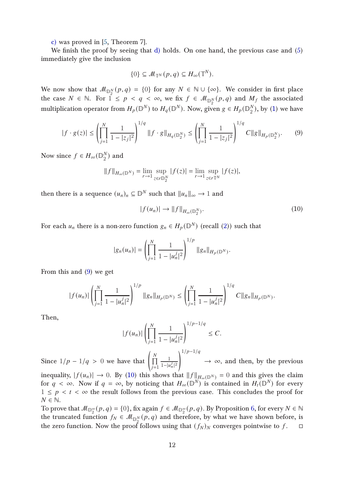[c\)](#page-8-3) was proved in [\[5,](#page-26-1) Theorem 7].

We finish the proof by seeing that [d\)](#page-9-1) holds. On one hand, the previous case and [\(5\)](#page-5-3) immediately give the inclusion

$$
\{0\} \subseteq \mathcal{M}_{\mathbb{T}^N}(p,q) \subseteq H_{\infty}(\mathbb{T}^N).
$$

We now show that  $\mathcal{M}_{\mathbb{D}_2^N}(p,q) = \{0\}$  for any  $N \in \mathbb{N} \cup \{\infty\}$ . We consider in first place the case  $N \in \mathbb{N}$ . For  $\hat{1} \leq p < q < \infty$ , we fix  $f \in \mathcal{M}_{\mathbb{D}_2^N}(p,q)$  and  $M_f$  the associated multiplication operator from  $H_p(\mathbb{D}^N)$  to  $H_q(\mathbb{D}^N)$ . Now, given  $g \in H_p(\mathbb{D}^N)$  $_2^N$ ), by [\(1\)](#page-2-0) we have

<span id="page-11-0"></span>
$$
|f \cdot g(z)| \le \left(\prod_{j=1}^N \frac{1}{1-|z_j|^2}\right)^{1/q} \|f \cdot g\|_{H_q(\mathbb{D}_2^N)} \le \left(\prod_{j=1}^N \frac{1}{1-|z_j|^2}\right)^{1/q} C \|g\|_{H_p(\mathbb{D}_2^N)}. \tag{9}
$$

Now since  $f \in H_{\infty}(\mathbb{D}_2^N)$  $_2^N$ ) and

$$
||f||_{H_{\infty}(\mathbb{D}^N)} = \lim_{r \to 1} \sup_{z \in r \mathbb{D}_2^N} |f(z)| = \lim_{r \to 1} \sup_{z \in r \mathbb{T}^N} |f(z)|,
$$

then there is a sequence  $(u_n)_n\subseteq\mathbb{D}^N$  such that  $\|u_n\|_\infty\to 1$  and

<span id="page-11-1"></span>
$$
|f(u_n)| \to ||f||_{H_\infty(\mathbb{D}_2^N)}.\tag{10}
$$

For each  $u_n$  there is a non-zero function  $g_n \in H_p(\mathbb{D}^N)$  (recall [\(2\)](#page-3-1)) such that

$$
|g_n(u_n)| = \left(\prod_{j=1}^N \frac{1}{1-|u_n^j|^2}\right)^{1/p} ||g_n||_{H_p(\mathbb{D}^N)}.
$$

From this and [\(9\)](#page-11-0) we get

$$
|f(u_n)|\left(\prod_{j=1}^N\frac{1}{1-|u_n^j|^2}\right)^{1/p}\|g_n\|_{H_p(\mathbb{D}^N)}\leq \left(\prod_{j=1}^N\frac{1}{1-|u_n^j|^2}\right)^{1/q}C\|g_n\|_{H_p(\mathbb{D}^N)}.
$$

Then,

$$
|f(u_n)| \left(\prod_{j=1}^N \frac{1}{1-|u_n^j|^2}\right)^{1/p-1/q} \leq C.
$$

Since  $1/p - 1/q > 0$  we have that  $\left( \prod_{i=1}^{N} \right)$  $j=1$ 1  $1-|u_n^j|^2$  $1/p-1/q$  $\rightarrow \infty$ , and then, by the previous

inequality,  $|f(u_n)| \to 0$ . By [\(10\)](#page-11-1) this shows that  $||f||_{H_\infty(D^N)} = 0$  and this gives the claim for  $q < \infty$ . Now if  $q = \infty$ , by noticing that  $H_{\infty}(\mathbb{D}^N)$  is contained in  $H_t(\mathbb{D}^N)$  for every  $1 \leq p \leq t \leq \infty$  the result follows from the previous case. This concludes the proof for  $N \in \mathbb{N}$ .

To prove that  $\mathcal{M}_{\mathbb{D}_2^{\infty}}(p,q) = \{0\}$ , fix again  $f \in \mathcal{M}_{\mathbb{D}_2^{\infty}}(p,q)$ . By Proposition [6,](#page-8-4) for every  $N \in \mathbb{N}$ the truncated function  $f_N \in \mathcal{M}_{\mathbb{D}_2^N}(p,q)$  and therefore, by what we have shown before, is the zero function. Now the proof follows using that  $(f_N)_N$  converges pointwise to f.  $\Box$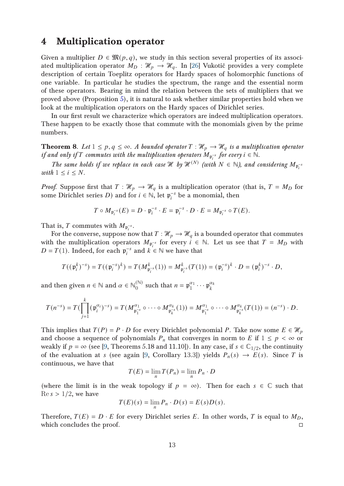## 4 Multiplication operator

Given a multiplier  $D \in \mathfrak{M}(p,q)$ , we study in this section several properties of its associated multiplication operator  $M_D : \mathcal{H}_p \to \mathcal{H}_q$ . In [\[26\]](#page-28-1) Vukotić provides a very complete description of certain Toeplitz operators for Hardy spaces of holomorphic functions of one variable. In particular he studies the spectrum, the range and the essential norm of these operators. Bearing in mind the relation between the sets of multipliers that we proved above (Proposition [5\)](#page-8-0), it is natural to ask whether similar properties hold when we look at the multiplication operators on the Hardy spaces of Dirichlet series.

In our first result we characterize which operators are indeed multiplication operators. These happen to be exactly those that commute with the monomials given by the prime numbers.

**Theorem 8.** Let  $1 \leq p, q \leq \infty$ . A bounded operator  $T : \mathcal{H}_p \to \mathcal{H}_q$  is a multiplication operator if and only if T commutes with the multiplication operators  $M_{\mathfrak{p}_i^{-s}}$  for every  $i \in \mathbb{N}$ .

The same holds if we replace in each case  $\mathcal H$  by  $\mathcal H^{(N)}$  (with  $N \in \mathbb N$ ), and considering  $M_{\mathfrak{p}_i^{-s}}$ with  $1 \leq i \leq N$ .

*Proof.* Suppose first that  $T : \mathcal{H}_p \to \mathcal{H}_q$  is a multiplication operator (that is,  $T = M_D$  for some Dirichlet series *D*) and for  $i \in \mathbb{N}$ , let  $\mathfrak{p}_{i}^{-s}$  $i<sup>s</sup>$  be a monomial, then

$$
T \circ M_{\mathfrak{p}_i^{-s}}(E) = D \cdot \mathfrak{p}_i^{-s} \cdot E = \mathfrak{p}_i^{-s} \cdot D \cdot E = M_{\mathfrak{p}_i^{-s}} \circ T(E).
$$

That is, T commutes with  $M_{\mathfrak{p}_i^{-s}}$ .

For the converse, suppose now that  $T : \mathcal{H}_p \to \mathcal{H}_q$  is a bounded operator that commutes with the multiplication operators  $M_{\mathfrak{p}_i^{-s}}$  for every  $i \in \mathbb{N}$ . Let us see that  $T = M_D$  with  $D = T(1)$ . Indeed, for each  $p_i^{-s}$  $i<sup>s</sup>$  and  $k \in \mathbb{N}$  we have that

$$
T((\mathfrak{p}_i^k)^{-s}) = T((\mathfrak{p}_i^{-s})^k) = T(M_{\mathfrak{p}_i^{-s}}^k(1)) = M_{\mathfrak{p}_i^{-s}}^k(T(1)) = (\mathfrak{p}_i^{-s})^k \cdot D = (\mathfrak{p}_i^k)^{-s} \cdot D,
$$

and then given  $n \in \mathbb{N}$  and  $\alpha \in \mathbb{N}_0^{(\mathbb{N})}$  $\mathfrak{p}_0^{(\mathbb{N})}$  such that  $n = \mathfrak{p}_1^{\alpha_1} \cdots \mathfrak{p}_k^{\alpha_k}$  $\boldsymbol{k}$ 

$$
T(n^{-s}) = T(\prod_{j=1}^k (\mathfrak{p}_i^{\alpha_i})^{-s}) = T(M^{\alpha_1}_{\mathfrak{p}_1^{-s}} \circ \cdots \circ M^{\alpha_k}_{\mathfrak{p}_k^{-s}}(1)) = M^{\alpha_1}_{\mathfrak{p}_1^{-s}} \circ \cdots \circ M^{\alpha_k}_{\mathfrak{p}_k^{-s}}(T(1)) = (n^{-s}) \cdot D.
$$

This implies that  $T(P) = P \cdot D$  for every Dirichlet polynomial P. Take now some  $E \in \mathcal{H}_p$ and choose a sequence of polynomials  $P_n$  that converges in norm to E if  $1 \leq p < \infty$  or weakly if  $p = \infty$  (see [\[9,](#page-27-3) Theorems 5.18 and 11.10]). In any case, if  $s \in \mathbb{C}_{1/2}$ , the continuity of the evaluation at s (see again [\[9,](#page-27-3) Corollary 13.3]) yields  $P_n(s) \to E(s)$ . Since T is continuous, we have that

$$
T(E) = \lim_{n} T(P_n) = \lim_{n} P_n \cdot D
$$

(where the limit is in the weak topology if  $p = \infty$ ). Then for each  $s \in \mathbb{C}$  such that  $\text{Re } s > 1/2$ , we have

$$
T(E)(s) = \lim_{n} P_n \cdot D(s) = E(s)D(s).
$$

Therefore,  $T(E) = D \cdot E$  for every Dirichlet series E. In other words, T is equal to  $M_D$ , which concludes the proof.  $\Box$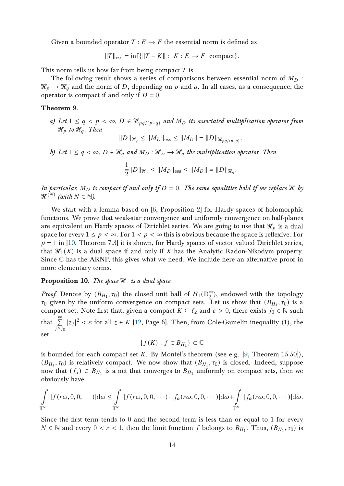Given a bounded operator  $T: E \to F$  the essential norm is defined as

 $||T||_{\text{ess}} = \inf \{ ||T - K|| : K : E \to F \text{ compact} \}.$ 

This norm tells us how far from being compact  $T$  is.

The following result shows a series of comparisons between essential norm of  $M_D$ :  $\mathcal{H}_p \to \mathcal{H}_q$  and the norm of D, depending on p and q. In all cases, as a consequence, the operator is compact if and only if  $D = 0$ .

<span id="page-13-1"></span><span id="page-13-0"></span>Theorem 9.

a) Let  $1 \le q < p < \infty$ ,  $D \in \mathcal{H}_{pq/(p-q)}$  and  $M_D$  its associated multiplication operator from  $\mathcal{H}_p$  to  $\mathcal{H}_q$ . Then

$$
||D||_{\mathcal{H}_q} \le ||M_D||_{\text{ess}} \le ||M_D|| = ||D||_{\mathcal{H}_{pq/(p-q)}}.
$$

<span id="page-13-2"></span>b) Let  $1 \le q < \infty$ ,  $D \in \mathcal{H}_q$  and  $M_D : \mathcal{H}_\infty \to \mathcal{H}_q$  the multiplication operator. Then

$$
\frac{1}{2}||D||_{\mathcal{H}_q} \le ||M_D||_{\text{ess}} \le ||M_D|| = ||D||_{\mathcal{H}_q}.
$$

In particular,  $M_D$  is compact if and only if  $D = 0$ . The same equalities hold if we replace H by  $\mathscr{H}^{(N)}$  (with  $N \in \mathbb{N}$ ).

We start with a lemma based on [\[6,](#page-26-3) Proposition 2] for Hardy spaces of holomorphic functions. We prove that weak-star convergence and uniformly convergence on half-planes are equivalent on Hardy spaces of Dirichlet series. We are going to use that  $\mathcal{H}_p$  is a dual space for every  $1 \leq p < \infty$ . For  $1 < p < \infty$  this is obvious because the space is reflexive. For  $p = 1$  in [\[10,](#page-27-9) Theorem 7.3] it is shown, for Hardy spaces of vector valued Dirichlet series, that  $\mathcal{H}_1(X)$  is a dual space if and only if X has the Analytic Radon-Nikodym property. Since  $\mathbb C$  has the ARNP, this gives what we need. We include here an alternative proof in more elementary terms.

#### **Proposition 10.** The space  $\mathcal{H}_1$  is a dual space.

*Proof.* Denote by  $(B_{H_1}, \tau_0)$  the closed unit ball of  $H_1(\mathbb{D}_2^{\infty})$  $_{2}^{\infty}$ ), endowed with the topology  $\tau_0$  given by the uniform convergence on compact sets. Let us show that  $(B_{H_1}, \tau_0)$  is a compact set. Note first that, given a compact  $K \subseteq \ell_2$  and  $\varepsilon > 0$ , there exists  $j_0 \in \mathbb{N}$  such that  $\sum_{n=1}^{\infty}$  $j \geq j_0$  $|z_j|^2 < \varepsilon$  for all  $z \in K$  [\[12,](#page-27-10) Page 6]. Then, from Cole-Gamelin inequality [\(1\)](#page-2-0), the | set

$$
\{f(K):f\in B_{H_1}\}\subset\mathbb{C}
$$

is bounded for each compact set  $K$ . By Montel's theorem (see e.g. [\[9,](#page-27-3) Theorem 15.50]),  $(B_{H_1}, \tau_0)$  is relatively compact. We now show that  $(B_{H_1}, \tau_0)$  is closed. Indeed, suppose now that  $(f_\alpha)\subset B_{H_1}$  is a net that converges to  $B_{H_1}$  uniformly on compact sets, then we obviously have

$$
\int_{\mathbb{T}^N} |f(r\omega, 0, 0, \cdots)| d\omega \leq \int_{\mathbb{T}^N} |f(r\omega, 0, 0, \cdots) - f_\alpha(r\omega, 0, 0, \cdots)| d\omega + \int_{\mathbb{T}^N} |f_\alpha(r\omega, 0, 0, \cdots)| d\omega.
$$

Since the first term tends to 0 and the second term is less than or equal to 1 for every  $N \in \mathbb{N}$  and every  $0 < r < 1$ , then the limit function f belongs to  $B_{H_1}$ . Thus,  $(B_{H_1}, \tau_0)$  is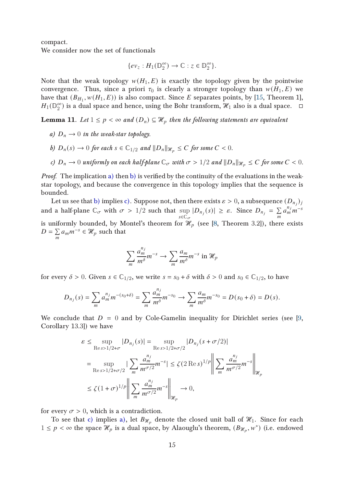compact.

We consider now the set of functionals

$$
\{ev_z: H_1(\mathbb{D}_2^{\infty}) \to \mathbb{C} : z \in \mathbb{D}_2^{\infty}\}.
$$

Note that the weak topology  $w(H_1, E)$  is exactly the topology given by the pointwise convergence. Thus, since a priori  $\tau_0$  is clearly a stronger topology than  $w(H_1, E)$  we have that  $(B_{H_1}, w(H_1, E))$  is also compact. Since E separates points, by [\[15,](#page-27-11) Theorem 1],  $H_1(\mathbb{D}_2^\infty)$  $_2^{\infty}$ ) is a dual space and hence, using the Bohr transform,  $\mathcal{H}_1$  also is a dual space.  $\Box$ 

<span id="page-14-3"></span><span id="page-14-0"></span>**Lemma 11.** Let  $1 \leq p < \infty$  and  $(D_n) \subseteq \mathcal{H}_p$  then the following statements are equivalent

- <span id="page-14-1"></span>a)  $D_n \rightarrow 0$  in the weak-star topology.
- <span id="page-14-2"></span>b)  $D_n(s) \to 0$  for each  $s \in \mathbb{C}_{1/2}$  and  $||D_n||_{\mathcal{H}_n} \leq C$  for some  $C < 0$ .
- c)  $D_n \to 0$  uniformly on each half-plane  $\mathbb{C}_{\sigma}$  with  $\sigma > 1/2$  and  $||D_n||_{\mathcal{H}_n} \leq C$  for some  $C < 0$ .

Proof. The implication [a\)](#page-14-0) then [b\)](#page-14-1) is verified by the continuity of the evaluations in the weakstar topology, and because the convergence in this topology implies that the sequence is bounded.

Let us see that [b\)](#page-14-1) implies [c\).](#page-14-2) Suppose not, then there exists  $\varepsilon > 0,$  a subsequence  $(D_{n_j})_j$ and a half-plane  $\mathbb{C}_{\sigma}$  with  $\sigma > 1/2$  such that sup  $s\in\tilde{\mathbb{C}}_{\sigma}$  $|D_{n_j}(s)| \geq \varepsilon$ . Since  $D_{n_j} = \sum$  $\overline{m}$  $a_m^{n_j}m^{-s}$ is uniformly bounded, by Montel's theorem for  $\mathcal{H}_p$  (see [\[8,](#page-27-12) Theorem 3.2]), there exists  $D = \sum$  $\sum_{m} a_m m^{-s} \in \mathcal{H}_p$  such that

$$
\sum_{m} \frac{a_m^{n_j}}{m^{\delta}} m^{-s} \to \sum_{m} \frac{a_m}{m^{\delta}} m^{-s} \text{ in } \mathcal{H}_p
$$

for every  $\delta > 0$ . Given  $s \in \mathbb{C}_{1/2}$ , we write  $s = s_0 + \delta$  with  $\delta > 0$  and  $s_0 \in \mathbb{C}_{1/2}$ , to have

$$
D_{n_j}(s) = \sum_{m} a_m^{n_j} m^{-(s_0+\delta)} = \sum_{m} \frac{a_m^{n_j}}{m^{\delta}} m^{-s_0} \to \sum_{m} \frac{a_m}{m^{\delta}} m^{-s_0} = D(s_0+\delta) = D(s).
$$

We conclude that  $D = 0$  and by Cole-Gamelin inequality for Dirichlet series (see [\[9,](#page-27-3) Corollary 13.3]) we have

$$
\varepsilon \le \sup_{\text{Res} > 1/2 + \sigma} |D_{n_j}(s)| = \sup_{\text{Res} > 1/2 + \sigma/2} |D_{n_j}(s + \sigma/2)|
$$
  
\n
$$
= \sup_{\text{Res} > 1/2 + \sigma/2} |\sum_m \frac{a_m^{n_j}}{m^{\sigma/2}} m^{-s}| \le \zeta (2 \operatorname{Re} s)^{1/p} \left\| \sum_m \frac{a_m^{n_j}}{m^{\sigma/2}} m^{-s} \right\|_{\mathcal{H}_p}
$$
  
\n
$$
\le \zeta (1 + \sigma)^{1/p} \left\| \sum_m \frac{a_m^{n_j}}{m^{\sigma/2}} m^{-s} \right\|_{\mathcal{H}_p} \to 0,
$$

for every  $\sigma > 0$ , which is a contradiction.

To see that [c\)](#page-14-2) implies [a\),](#page-14-0) let  $B_{\mathcal{H}_n}$  denote the closed unit ball of  $\mathcal{H}_1$ . Since for each  $1 \leq p < \infty$  the space  $\mathcal{H}_p$  is a dual space, by Alaouglu's theorem,  $(B_{\mathcal{H}_p}, w^*)$  (i.e. endowed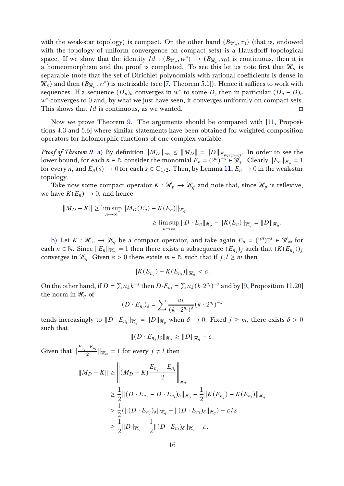with the weak-star topology) is compact. On the other hand  $(B_{\mathscr{H}_{p}},\tau_{0})$  (that is, endowed with the topology of uniform convergence on compact sets) is a Hausdorff topological space. If we show that the identity  $Id : (B_{\mathcal{H}_p}, w^*) \to (B_{\mathcal{H}_p}, \tau_0)$  is continuous, then it is a homeomorphism and the proof is completed. To see this let us note first that  $\mathcal{H}_p$  is separable (note that the set of Dirichlet polynomials with rational coefficients is dense in  $\mathcal{H}_p$ ) and then  $(B_{\mathcal{H}_p}, w^*)$  is metrizable (see [\[7,](#page-26-4) Theorem 5.1]). Hence it suffices to work with sequences. If a sequence  $(D_n)_n$  converges in  $w^*$  to some D, then in particular  $(D_n - D)_n$  $w^*$ -converges to 0 and, by what we just have seen, it converges uniformly on compact sets. This shows that  $Id$  is continuous, as we wanted.  $\Box$ 

Now we prove Theorem [9.](#page-13-0) The arguments should be compared with [\[11,](#page-27-5) Propositions 4.3 and 5.5] where similar statements have been obtained for weighted composition operators for holomorphic functions of one complex variable.

*Proof of Theorem [9.](#page-13-0)* [a\)](#page-13-1) By definition  $||M_D||_{\text{ess}} \le ||M_D|| = ||D||_{\mathcal{H}_{pq/(p-q)}}$ . In order to see the lower bound, for each  $n \in \mathbb{N}$  consider the monomial  $E_n = (2^n)^{-s} \in \mathcal{H}_p$ . Clearly  $||E_n||_{\mathcal{H}_p} = 1$ for every *n*, and  $E_n(s) \to 0$  for each  $s \in \mathbb{C}_{1/2}$ . Then, by Lemma [11,](#page-14-3)  $E_n \to 0$  in the weak-star topology.

Take now some compact operator  $K : \mathcal{H}_p \to \mathcal{H}_q$  and note that, since  $\mathcal{H}_p$  is reflexive, we have  $K(E_n) \to 0$ , and hence

$$
||M_D - K|| \ge \limsup_{n \to \infty} ||M_D(E_n) - K(E_n)||_{\mathcal{H}_q}
$$
  

$$
\ge \limsup_{n \to \infty} ||D \cdot E_n||_{\mathcal{H}_q} - ||K(E_n)||_{\mathcal{H}_q} = ||D||_{\mathcal{H}_q}.
$$

[b\)](#page-13-2) Let  $K : \mathcal{H}_{\infty} \to \mathcal{H}_{q}$  be a compact operator, and take again  $E_n = (2^n)^{-s} \in \mathcal{H}_{\infty}$  for each  $n \in \mathbb{N}$ . Since  $||E_n||_{\mathcal{H}_{\infty}} = 1$  then there exists a subsequence  $(E_{n_j})_j$  such that  $(K(E_{n_j}))_j$ converges in  $\mathcal{H}_q$ . Given  $\varepsilon > 0$  there exists  $m \in \mathbb{N}$  such that if  $j, l \geq m$  then

$$
||K(E_{n_j}) - K(E_{n_l})||_{\mathcal{H}_q} < \varepsilon.
$$

On the other hand, if  $D = \sum a_k k^{-s}$  then  $D \cdot E_{n_l} = \sum a_k (k \cdot 2^{n_l})^{-s}$  and by [\[9,](#page-27-3) Proposition 11.20] the norm in  $\mathcal{H}_q$  of

$$
(D \cdot E_{n_l})_{\delta} = \sum \frac{a_k}{(k \cdot 2^{n_l})^{\delta}} (k \cdot 2^{n_l})^{-s}
$$

tends increasingly to  $||D \cdot E_{n_l}||_{\mathcal{H}_q} = ||D||_{\mathcal{H}_q}$  when  $\delta \to 0$ . Fixed  $j \geq m$ , there exists  $\delta > 0$ such that

$$
||(D \cdot E_{n_j})_{\delta}||_{\mathcal{H}_q} \geq ||D||_{\mathcal{H}_q} - \varepsilon.
$$

Given that  $\|\frac{E_{n_j} - E_{n_l}}{2}\|$  $\frac{L_{n_l}}{2}$   $\|\mathcal{H}_{\infty} = 1$  for every  $j \neq l$  then

$$
||M_D - K|| \ge ||(M_D - K) \frac{E_{n_j} - E_{n_l}}{2}||_{\mathcal{H}_q}
$$
  
\n
$$
\ge \frac{1}{2} ||(D \cdot E_{n_j} - D \cdot E_{n_l})_{\delta}||_{\mathcal{H}_q} - \frac{1}{2} ||K(E_{n_j}) - K(E_{n_l})||_{\mathcal{H}_q}
$$
  
\n
$$
> \frac{1}{2} (||(D \cdot E_{n_j})_{\delta}||_{\mathcal{H}_q} - ||(D \cdot E_{n_l})_{\delta}||_{\mathcal{H}_q}) - \varepsilon/2
$$
  
\n
$$
\ge \frac{1}{2} ||D||_{\mathcal{H}_q} - \frac{1}{2} ||(D \cdot E_{n_l})_{\delta}||_{\mathcal{H}_q} - \varepsilon.
$$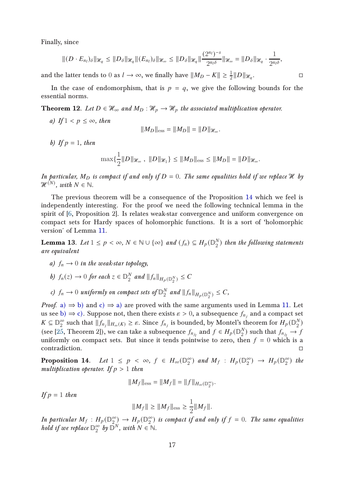Finally, since

$$
\|(D\cdot E_{n_l})_\delta\|_{\mathcal{H}_q}\leq \|D_\delta\|_{\mathcal{H}_q}\|(E_{n_l})_\delta\|_{\mathcal{H}_\infty}\leq \|D_\delta\|_{\mathcal{H}_q}\|\frac{(2^{n_l})^{-s}}{2^{n_l\delta}}\|_{\mathcal{H}_\infty}=\|D_\delta\|_{\mathcal{H}_q}\cdot\frac{1}{2^{n_l\delta}},
$$

and the latter tends to  $0$  as  $l\to\infty,$  we finally have  $\|M_D-K\|\geq \frac{1}{2}\|D\|_{\mathscr{H}_q}$ 

In the case of endomorphism, that is  $p = q$ , we give the following bounds for the essential norms.

<span id="page-16-5"></span>**Theorem 12.** Let  $D \in \mathcal{H}_{\infty}$  and  $M_D : \mathcal{H}_p \to \mathcal{H}_p$  the associated multiplication operator.

a) If  $1 < p \leq \infty$ , then

$$
||M_D||_{\rm ess} = ||M_D|| = ||D||_{\mathcal{H}_{\infty}}.
$$

b) If  $p = 1$ , then

$$
\max\{\frac{1}{2}||D||_{\mathcal{H}_{\infty}},\ ||D||_{\mathcal{H}_{1}}\} \leq ||M_{D}||_{\text{ess}} \leq ||M_{D}|| = ||D||_{\mathcal{H}_{\infty}}.
$$

In particular,  $M_D$  is compact if and only if  $D = 0$ . The same equalities hold if we replace H by  $\mathcal{H}^{(N)}$ , with  $N \in \mathbb{N}$ .

The previous theorem will be a consequence of the Proposition [14](#page-16-0) which we feel is independently interesting. For the proof we need the following technical lemma in the spirit of [\[6,](#page-26-3) Proposition 2]. Is relates weak-star convergence and uniform convergence on compact sets for Hardy spaces of holomorphic functions. It is a sort of 'holomorphic version of Lemma [11.](#page-14-3)

<span id="page-16-4"></span><span id="page-16-1"></span>**Lemma 13.** Let  $1 \leq p < \infty$ ,  $N \in \mathbb{N} \cup \{\infty\}$  and  $(f_n) \subseteq H_p(\mathbb{D}_2^N)$  $_2^N$ ) then the following statements are equivalent

- <span id="page-16-2"></span>a)  $f_n \rightarrow 0$  in the weak-star topology,
- <span id="page-16-3"></span>b)  $f_n(z) \to 0$  for each  $z \in \mathbb{D}_2^N$  $\frac{N}{2}$  and  $||f_n||_{H_p(\mathbb{D}_2^N)} \leq C$
- c)  $f_n \to 0$  uniformly on compact sets of  $\mathbb{D}_2^N$  $\frac{N}{2}$  and  $||f_n||_{H_p(\mathbb{D}_2^N)} \leq C$ ,

*Proof.* [a\)](#page-16-1)  $\Rightarrow$  [b\)](#page-16-2) and [c\)](#page-16-3)  $\Rightarrow$  a) are proved with the same arguments used in Lemma [11.](#page-14-3) Let us see [b\)](#page-16-2)  $\Rightarrow$  [c\).](#page-16-3) Suppose not, then there exists  $\varepsilon > 0$ , a subsequence  $f_{n_j}$  and a compact set  $K \subseteq \mathbb{D}_2^{\infty}$  $\frac{\infty}{2}$  such that  $||f_{n_j}||_{H_\infty(K)} \geq \varepsilon$ . Since  $f_{n_j}$  is bounded, by Montel's theorem for  $H_p(\mathbb{D}_2^N)$  $_2^N)$ (see [\[25,](#page-28-3) Theorem 2]), we can take a subsequence  $f_{n_{j_l}}$  and  $f \in H_p(\mathbb{D}_2^N)$  $\binom{N}{2}$  such that  $f_{n_{j_l}} \to f$ uniformly on compact sets. But since it tends pointwise to zero, then  $f = 0$  which is a contradiction.

<span id="page-16-0"></span>**Proposition 14.** Let  $1 \leq p \leq \infty$ ,  $f \in H_{\infty}(\mathbb{D}_{2}^{\infty})$  $\binom{\infty}{2}$  and  $M_f$ :  $H_p(\mathbb{D}_2^{\infty})$  $\frac{\infty}{2}$   $\rightarrow$   $H_p(\mathbb{D}_2^{\infty})$  $_2^{\infty}$ ) the multiplication operator. If  $p > 1$  then

$$
||M_f||_{\text{ess}} = ||M_f|| = ||f||_{H_{\infty}(\mathbb{D}_2^{\infty})}.
$$

If  $p = 1$  then

$$
||M_f|| \ge ||M_f||_{\text{ess}} \ge \frac{1}{2}||M_f||.
$$

In particular  $M_f: H_p(\mathbb{D}_2^{\infty})$  $\mathcal{L}_{2}^{\infty}$   $\rightarrow$   $H_p(\mathbb{D}_2^{\infty})$  $_2^{\infty})$  is compact if and only if  $f = 0$ . The same equalities hold if we replace  $\mathbb{D}_2^\infty$  $\sum_{2}^{\infty}$  by  $\overline{\mathbb{D}}^{N}$ , with  $N \in \mathbb{N}$ .

.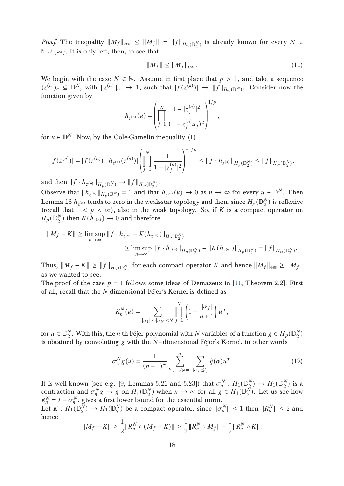*Proof.* The inequality  $\|M_f\|_{\text{ess}} \le \|M_f\| = \|f\|_{H_\infty(\mathbb{D}_2^N)}$  is already known for every  $N \in$ ℕ ∪ {∞}. It is only left, then, to see that

$$
||M_f|| \le ||M_f||_{\text{ess}}.
$$
\n<sup>(11)</sup>

,

We begin with the case  $N \in \mathbb{N}$ . Assume in first place that  $p > 1$ , and take a sequence  $(z^{(n)})_n \subseteq \mathbb{D}^N$ , with  $||z^{(n)}||_{\infty} \to 1$ , such that  $|f(z^{(n)})| \to ||f||_{H_{\infty}(\mathbb{D}^N)}$ . Consider now the function given by

$$
h_{z^{(n)}}(u) = \left(\prod_{j=1}^{N} \frac{1 - |z_j^{(n)}|^2}{(1 - \overline{z_j^{(n)}} u_j)^2}\right)^{1/p}
$$

for  $u \in \mathbb{D}^N$ . Now, by the Cole-Gamelin inequality [\(1\)](#page-2-0)

$$
|f(z^{(n)})|=|f(z^{(n)})\cdot h_{z^{(n)}}(z^{(n)})|\left(\prod_{j=1}^N\frac{1}{1-|z_j^{(n)}|^2}\right)^{-1/p}\leq \|f\cdot h_{z^{(n)}}\|_{H_p({\mathbb D}^N_2)}\leq \|f\|_{H_\infty({\mathbb D}^N_2)},
$$

and then  $||f \cdot h_{z^{(n)}}||_{H_p(\mathbb{D}_2^N)} \to ||f||_{H_\infty(\mathbb{D}_2^N)}$ .

Observe that  $||h_{z^{(n)}}||_{H_p(\mathbb{D}^N)} = 1$  and that  $h_{z^{(n)}}(u) \to 0$  as  $n \to \infty$  for every  $u \in \mathbb{D}^N$ . Then Lemma  $13\ h_{z^{(n)}}$  $13\ h_{z^{(n)}}$  tends to zero in the weak-star topology and then, since  $H_p(\mathbb{D}_2^N)$  $_2^N$ ) is reflexive (recall that  $1 < p < \infty$ ), also in the weak topology. So, if K is a compact operator on  $H_p({\mathbb{D}}_2^N)$  $_2^N$ ) then  $K(h_{z^{(n)}}) \to 0$  and therefore

$$
||M_f - K|| \ge \limsup_{n \to \infty} ||f \cdot h_{z^{(n)}} - K(h_{z^{(n)}})||_{H_p(\mathbb{D}_2^N)}
$$
  

$$
\ge \limsup_{n \to \infty} ||f \cdot h_{z^{(n)}}||_{H_p(\mathbb{D}_2^N)} - ||K(h_{z^{(n)}})||_{H_p(\mathbb{D}_2^N)} = ||f||_{H_\infty(\mathbb{D}_2^N)}.
$$

Thus,  $\|M_f - K\| \ge \|f\|_{H_\infty(\mathbb{D}_2^N)}$  for each compact operator  $K$  and hence  $\|M_f\|_{\mathrm{ess}} \ge \|M_f\|$ as we wanted to see.

The proof of the case  $p = 1$  follows some ideas of Demazeux in [\[11,](#page-27-5) Theorem 2.2]. First of all, recall that the *N*-dimensional Féjer's Kernel is defined as

$$
K_n^N(u) = \sum_{|\alpha_1|, \cdots |\alpha_N| \le N} \prod_{j=1}^N \left(1 - \frac{|\alpha_j|}{n+1}\right) u^{\alpha},
$$

for  $u \in \mathbb{D}_{2}^{N}$  $_2^N$ . With this, the *n*-th Féjer polynomial with  $N$  variables of a function  $g \in H_p$  ( $\mathbb{D}_2^N$  $_2^N)$ is obtained by convoluting  $g$  with the  $N$ −dimensional Féjer's Kernel, in other words

<span id="page-17-0"></span>
$$
\sigma_n^N g(u) = \frac{1}{(n+1)^N} \sum_{l_1, \dots, l_N = 1}^n \sum_{|\alpha_j| \le l_j} \hat{g}(\alpha) u^{\alpha}.
$$
 (12)

It is well known (see e.g. [\[9,](#page-27-3) Lemmas 5.21 and 5.23]) that  $\sigma_n^N : H_1(\mathbb{D}_2^N)$  $\frac{N}{2}$   $\rightarrow$   $H_1(\mathbb{D}_2^N)$  $_2^N$ ) is a contraction and  $\sigma_n^N g \to g$  on  $H_1(\mathbb{D}_2^N)$  $\binom{N}{2}$  when  $n \to \infty$  for all  $g \in H_1(\mathbb{D}_2^N)$  $_2^N$ ). Let us see how  $R_n^N = I - \sigma_n^N$ , gives a first lower bound for the essential norm.

Let  $K : H_1(\mathbb{D}_2^{\bar{N}})$  $\frac{\bar{N}}{2}) \rightarrow H_1(\mathbb{D}_2^N)$  $\binom{N}{2}$  be a compact operator, since  $\|\sigma_n^N\| \leq 1$  then  $\|R_n^N\| \leq 2$  and hence

$$
||M_f - K|| \ge \frac{1}{2}||R_n^N \circ (M_f - K)|| \ge \frac{1}{2}||R_n^N \circ M_f|| - \frac{1}{2}||R_n^N \circ K||.
$$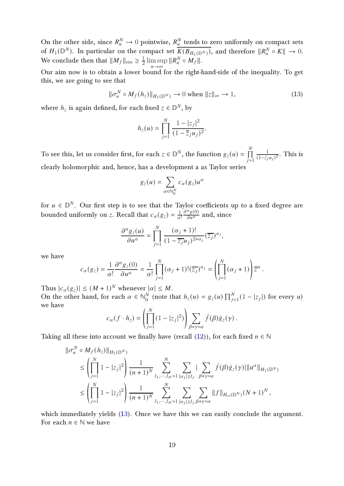On the other side, since  $R_n^N \to 0$  pointwise,  $R_n^N$  tends to zero uniformly on compact sets of  $H_1(\mathbb{D}^N)$ . In particular on the compact set  $\overline{K(B_{H_1(\mathbb{D}^N)})}$ , and therefore  $\|R_n^N \circ K\| \to 0$ . We conclude then that  $\|M_f\|_{\text{ess}} \geq \frac{1}{2}$  $\frac{1}{2}$  lim sup  $n \rightarrow \infty$  $\|R_n^N \circ M_f\|.$ 

Our aim now is to obtain a lower bound for the right-hand-side of the inequality. To get this, we are going to see that

<span id="page-18-0"></span>
$$
\|\sigma_n^N \circ M_f(h_z)\|_{H_1(\mathbb{D}^N)} \to 0 \text{ when } \|z\|_{\infty} \to 1,
$$
 (13)

where  $h_z$  is again defined, for each fixed  $z\in\mathbb{D}^N,$  by

$$
h_z(u) = \prod_{j=1}^N \frac{1 - |z_j|^2}{(1 - \overline{z}_j u_j)^2}.
$$

To see this, let us consider first, for each  $z\in \mathbb{D}^N,$  the function  $g_z(u)=\prod^N$  $j=1$ 1  $\frac{1}{(1-\bar{z_j}u_j)^2}$ . This is clearly holomorphic and, hence, has a development a as Taylor series

$$
g_z(u) = \sum_{\alpha \in \mathbb{N}_0^N} c_{\alpha}(g_z) u^{\alpha}
$$

for  $u \in \mathbb{D}^N$ . Our first step is to see that the Taylor coefficients up to a fixed degree are bounded uniformly on z. Recall that  $c_{\alpha}(g_{z}) = \frac{1}{\alpha}$  $\alpha!$  $\frac{\partial^{\alpha} g(0)}{\partial u^{\alpha}}$  and, since

$$
\frac{\partial^{\alpha} g_z(u)}{\partial u^{\alpha}} = \prod_{j=1}^N \frac{(\alpha_j + 1)!}{(1 - \overline{z_j} u_j)^{2 + \alpha_j}} (\overline{z_j})^{\alpha_j},
$$

we have

$$
c_{\alpha}(g_z) = \frac{1}{\alpha!} \frac{\partial^{\alpha} g_z(0)}{\partial u^{\alpha}} = \frac{1}{\alpha!} \prod_{j=1}^{N} (\alpha_j + 1)! (\overline{z_j})^{\alpha_j} = \left( \prod_{j=1}^{N} (\alpha_j + 1) \right) \overline{z}^{\alpha}.
$$

Thus  $|c_{\alpha}(g_{z})| \leq (M+1)^{N}$  whenever  $|\alpha| \leq M$ . On the other hand, for each  $\alpha \in \mathbb{N}_0^N$  $\frac{N}{0}$  (note that  $h_z(u) = g_z(u) \prod_{j=1}^{N} (1 - |z_j|)$  for every u) we have

$$
c_{\alpha}(f \cdot h_z) = \left(\prod_{j=1}^N (1-|z_j|^2)\right) \sum_{\beta + \gamma = \alpha} \hat{f}(\beta) \hat{g}_z(\gamma).
$$

Taking all these into account we finally have (recall  $(12)$ ), for each fixed  $n \in \mathbb{N}$ 

$$
\begin{split} \|\sigma_n^N &\circ M_f(h_z)\|_{H_1(\mathbb{D}^N)}\\ &\leq \left(\prod_{j=1}^N 1-|z_j|^2\right)\frac{1}{(n+1)^N}\sum_{l_1,\cdots,l_N=1}^N\sum_{|\alpha_j|\leq l_j}|\sum_{\beta+\gamma=\alpha} \hat{f}(\beta)\hat{g}_z(\gamma)|\|u^\alpha\|_{H_1(\mathbb{D}^N)}\\ &\leq \left(\prod_{j=1}^N 1-|z_j|^2\right)\frac{1}{(n+1)^N}\sum_{l_1,\cdots,l_N=1}^N\sum_{|\alpha_j|\leq l_j}\sum_{\beta+\gamma=\alpha}\|f\|_{H_\infty(\mathbb{D}^N)}(N+1)^N\,, \end{split}
$$

which immediately yields  $(13)$ . Once we have this we can easily conclude the argument. For each  $n \in \mathbb{N}$  we have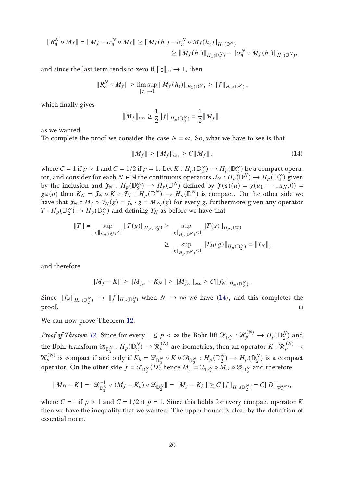$$
||R_n^N \circ M_f|| = ||M_f - \sigma_n^N \circ M_f|| \ge ||M_f(h_z) - \sigma_n^N \circ M_f(h_z)||_{H_1(\mathbb{D}^N)} \ge ||M_f(h_z)||_{H_1(\mathbb{D}_2^N)} - ||\sigma_n^N \circ M_f(h_z)||_{H_1(\mathbb{D}^N)},
$$

and since the last term tends to zero if  $||z||_{\infty} \rightarrow 1$ , then

$$
||R_n^N \circ M_f|| \ge \limsup_{\|z\| \to 1} ||M_f(h_z)||_{H_1(\mathbb{D}^N)} \ge ||f||_{H_\infty(\mathbb{D}^N)},
$$

which finally gives

$$
||M_f||_{\text{ess}} \ge \frac{1}{2} ||f||_{H_{\infty}(\mathbb{D}_2^N)} = \frac{1}{2} ||M_f||,
$$

as we wanted.

To complete the proof we consider the case  $N = \infty$ . So, what we have to see is that

<span id="page-19-0"></span>
$$
||M_f|| \ge ||M_f||_{\text{ess}} \ge C||M_f||\,,\tag{14}
$$

where  $C = 1$  if  $p > 1$  and  $C = 1/2$  if  $p = 1$ . Let  $K : H_p(\mathbb{D}_2^{\infty})$  $\binom{\infty}{2}$   $\rightarrow$   $H_p(\mathbb{D}_2^{\infty})$  $_2^{\infty})$  be a compact operator, and consider for each  $N \in \mathbb{N}$  the continuous operators  $\mathcal{F}_N:H_p(\mathbb{D}^N)\to H_p(\mathbb{D}^\infty_T)$  $_2^{\infty}$ ) given by the inclusion and  $\mathcal{J}_N$  :  $H_p(\mathbb{D}_2^{\infty})$  $\chi_2^{\infty}$   $\rightarrow$   $H_p(\mathbb{D}^N)$  defined by  $\mathcal{J}(g)(u) = g(u_1, \dots, u_N, 0) =$  $g_N(u)$  then  $K_N = \mathcal{J}_N \circ K \circ \mathcal{J}_N : H_p(\mathbb{D}^N) \to H_p(\mathbb{D}^N)$  is compact. On the other side we have that  $f_N \circ M_f \circ \mathcal{F}_N(g) = f_n \cdot g = M_{f_N}(g)$  for every g, furthermore given any operator  $T: H_p(\mathbb{D}_2^{\infty})$  $\binom{\infty}{2}$   $\rightarrow$   $H_p(\mathbb{D}_2^{\infty})$  $_2^{\infty})$  and defining  $T_N$  as before we have that

$$
||T|| = \sup_{||g||_{H_p(\mathbb{D}_2^{\infty})} \le 1} ||T(g)||_{H_p(\mathbb{D}_2^{\infty})} \ge \sup_{||g||_{H_p(\mathbb{D}^N)} \le 1} ||T(g)||_{H_p(\mathbb{D}_2^{\infty})}
$$
  

$$
\ge \sup_{||g||_{H_p(\mathbb{D}^N)} \le 1} ||T_M(g)||_{H_p(\mathbb{D}_2^N)} = ||T_N||,
$$

and therefore

$$
||M_f - K|| \ge ||M_{f_N} - K_N|| \ge ||M_{f_N}||_{\text{ess}} \ge C||f_N||_{H_\infty(\mathbb{D}_2^N)}.
$$

Since  $\|f_N\|_{H_\infty(\mathbb{D}^N_2)}\to \|f\|_{H_\infty(\mathbb{D}^\infty_2)}$  when  $N\to\infty$  we have [\(14\)](#page-19-0), and this completes the  $\Box$ 

We can now prove Theorem [12.](#page-16-5)

Proof of Theorem [12.](#page-16-5) Since for every  $1\leq p<\infty$  the Bohr lift  $\mathscr{L}_{\mathbb{D}^N_2}:\mathscr{H}_{p}^{(N)}\to H_p(\mathbb{D}^N_2)$  $_2^N$ ) and the Bohr transform  $\mathfrak{B}_{\mathbb{D}^N_2} : H_p(\mathbb{D}^N_2)$  $\mathcal{H}_p^{(N)}\to \mathcal{H}_p^{(N)}$  are isometries, then an operator  $K:\mathcal{H}_p^{(N)}\to \mathcal{H}_p^{(N)}$  $\mathcal{H}_p^{(N)}$  is compact if and only if  $K_h = \mathcal{L}_{\mathbb{D}_2^N} \circ K \circ \mathcal{B}_{\mathbb{D}_2^N} : H_p(\mathbb{D}_2^N)$  $\binom{N}{2} \rightarrow H_p(\mathbb{D}_2^N)$  $_2^N$ ) is a compact operator. On the other side  $f = \mathscr{L}_{\mathbb{D}^N_2}(D)$  hence  $M_f = \mathscr{L}_{\mathbb{D}^N_2} \circ M_D \circ \mathscr{B}_{\mathbb{D}^N_2}$  and therefore

$$
||M_D - K|| = ||\mathcal{L}_{\mathbb{D}_2^N}^{-1} \circ (M_f - K_h) \circ \mathcal{L}_{\mathbb{D}_2^N}|| = ||M_f - K_h|| \geq C||f||_{H_{\infty}(\mathbb{D}_2^N)} = C||D||_{\mathcal{H}_{\infty}^{(N)}},
$$

where  $C = 1$  if  $p > 1$  and  $C = 1/2$  if  $p = 1$ . Since this holds for every compact operator K then we have the inequality that we wanted. The upper bound is clear by the definition of essential norm.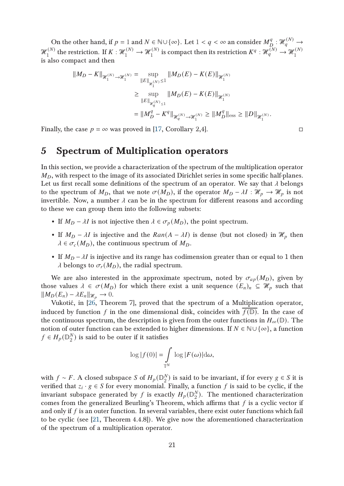On the other hand, if  $p = 1$  and  $N \in \mathbb{N} \cup \{\infty\}$ . Let  $1 < q < \infty$  an consider  $M_{\mathbb{R}}^q$  $\mathcal{H}_q^{(N)} \to$  $\mathcal{H}_1^{(N)}$  the restriction. If  $K: \mathcal{H}_1^{(N)} \to \mathcal{H}_1^{(N)}$  is compact then its restriction  $K^q: \mathcal{H}_q^{(N)} \to \mathcal{H}_1^{(N)}$ is also compact and then

$$
\begin{aligned} \| M_D - K \|_{\mathcal{H}_1^{(N)} \to \mathcal{H}_1^{(N)}} & = \sup_{\| E \|_{\mathcal{H}_1^{(N)}} \leq 1} \| M_D(E) - K(E) \|_{\mathcal{H}_1^{(N)}} \\ & \geq \sup_{\| E \|_{\mathcal{H}_q^{(N)} \leq 1}} \| M_D(E) - K(E) \|_{\mathcal{H}_1^{(N)}} \\ & = \| M_D^q - K^q \|_{\mathcal{H}_q^{(N)} \to \mathcal{H}_1^{(N)}} \geq \| M_D^q \|_{\text{ess}} \geq \| D \|_{\mathcal{H}_1^{(N)}}. \end{aligned}
$$

Finally, the case  $p = \infty$  was proved in [\[17,](#page-27-13) Corollary 2,4].

## 5 Spectrum of Multiplication operators

In this section, we provide a characterization of the spectrum of the multiplication operator  $M_D$ , with respect to the image of its associated Dirichlet series in some specific half-planes. Let us first recall some definitions of the spectrum of an operator. We say that  $\lambda$  belongs to the spectrum of  $M_D$ , that we note  $\sigma(M_D)$ , if the operator  $M_D - \lambda I : \mathcal{H}_D \to \mathcal{H}_D$  is not invertible. Now, a number  $\lambda$  can be in the spectrum for different reasons and according to these we can group them into the following subsets:

- If  $M_D \lambda I$  is not injective then  $\lambda \in \sigma_p(M_D)$ , the point spectrum.
- If  $M_D \lambda I$  is injective and the  $Ran(A \lambda I)$  is dense (but not closed) in  $\mathcal{H}_D$  then  $\lambda \in \sigma_c(M_D)$ , the continuous spectrum of  $M_D$ .
- If  $M_D \lambda I$  is injective and its range has codimension greater than or equal to 1 then  $\lambda$  belongs to  $\sigma_r(M_D)$ , the radial spectrum.

We are also interested in the approximate spectrum, noted by  $\sigma_{ap}(M_D)$ , given by those values  $\lambda \in \sigma(M_D)$  for which there exist a unit sequence  $(E_n)_n \subseteq \mathcal{H}_p$  such that  $\|M_D(E_n) - \lambda E_n\|_{\mathcal{H}_p} \to 0.$ 

Vukotić, in [\[26,](#page-28-1) Theorem 7], proved that the spectrum of a Multiplication operator, induced by function f in the one dimensional disk, coincides with  $f(\mathbb{D})$ . In the case of the continuous spectrum, the description is given from the outer functions in  $H_{\infty}(\mathbb{D})$ . The notion of outer function can be extended to higher dimensions. If  $N \in \mathbb{N} \cup \{\infty\}$ , a function  $f \in H_p(\mathbb{D}_2^N)$  $2<sup>N</sup>$ ) is said to be outer if it satisfies

$$
\log|f(0)| = \int_{\mathbb{T}^N} \log|F(\omega)| d\omega,
$$

with  $f \sim F$ . A closed subspace S of  $H_p(\mathbb{D}_2^N)$  $2^N$ ) is said to be invariant, if for every  $g \in S$  it is verified that  $z_i \cdot g \in S$  for every monomial. Finally, a function f is said to be cyclic, if the invariant subspace generated by f is exactly  $H_p(\mathbb{D}_2^N)$  $_2^N$ ). The mentioned characterization comes from the generalized Beurling's Theorem, which affirms that  $f$  is a cyclic vector if and only if  $f$  is an outer function. In several variables, there exist outer functions which fail to be cyclic (see [\[21,](#page-27-7) Theorem 4.4.8]). We give now the aforementioned characterization of the spectrum of a multiplication operator.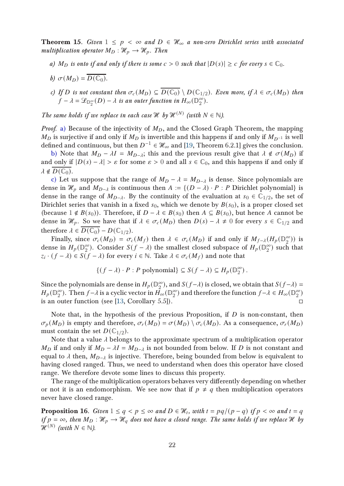<span id="page-21-0"></span>**Theorem 15.** Given  $1 \leq p \leq \infty$  and  $D \in \mathcal{H}_{\infty}$  a non-zero Dirichlet series with associated multiplication operator  $M_D : \mathcal{H}_p \to \mathcal{H}_p$ . Then

- <span id="page-21-1"></span>a) M<sub>D</sub> is onto if and only if there is some  $c > 0$  such that  $|D(s)| \geq c$  for every  $s \in \mathbb{C}_0$ .
- <span id="page-21-2"></span>b)  $\sigma(M_D) = \overline{D(\mathbb{C}_0)}$ .
- c) If D is not constant then  $\sigma_c(M_D) \subseteq \overline{D(C_0)} \setminus D(C_{1/2})$ . Even more, if  $\lambda \in \sigma_c(M_D)$  then  $\hat{f}-\lambda=\mathscr{L}_{\mathbb{D}_2^\infty}(D)-\lambda$  is an outer function in  $H_\infty(\mathbb{D}_2^\infty)$  $_{2}^{\infty}$ ).

The same holds if we replace in each case  $\mathcal{H}$  by  $\mathcal{H}^{(N)}$  (with  $N \in \mathbb{N}$ ).

*Proof.* [a\)](#page-21-0) Because of the injectivity of  $M<sub>D</sub>$ , and the Closed Graph Theorem, the mapping  $M_D$  is surjective if and only if  $M_D$  is invertible and this happens if and only if  $M_{D^{-1}}$  is well defined and continuous, but then  $D^{-1} \in \mathscr{H}_\infty$  and [\[19,](#page-27-2) Theorem 6.2.1] gives the conclusion.

[b\)](#page-21-1) Note that  $M_D - \lambda I = M_{D-\lambda}$ ; this and the previous result give that  $\lambda \notin \sigma(M_D)$  if and only if  $|D(s) - \lambda| > \varepsilon$  for some  $\varepsilon > 0$  and all  $s \in \mathbb{C}_0$ , and this happens if and only if  $\lambda \notin D(\mathbb{C}_0).$ 

[c\)](#page-21-2) Let us suppose that the range of  $M_D - \lambda = M_{D-\lambda}$  is dense. Since polynomials are dense in  $\mathcal{H}_p$  and  $M_{D-\lambda}$  is continuous then  $A := \{(D - \lambda) \cdot P : P$  Dirichlet polynomial} is dense in the range of  $M_{D-\lambda}$ . By the continuity of the evaluation at  $s_0 \in \mathbb{C}_{1/2}$ , the set of Dirichlet series that vanish in a fixed  $s_0$ , which we denote by  $B(s_0)$ , is a proper closed set (because  $1 \notin B(s_0)$ ). Therefore, if  $D - \lambda \in B(s_0)$  then  $A \subseteq B(s_0)$ , but hence A cannot be dense in  $\mathcal{H}_p$ . So we have that if  $\lambda \in \sigma_c(M_D)$  then  $D(s) - \lambda \neq 0$  for every  $s \in \mathbb{C}_{1/2}$  and therefore  $\lambda \in \overline{D(\mathbb{C}_0)} - D(\mathbb{C}_{1/2})$ .

Finally, since  $\sigma_c(M_D) = \sigma_c(M_f)$  then  $\lambda \in \sigma_c(M_D)$  if and only if  $M_{f-\lambda}(H_p(\mathbb{D}_2^{\infty}))$  $_{2}^{\infty}$ )) is dense in  $H_p(\mathbb{D}_2^\infty)$  $_2^{\infty}$ ). Consider  $S(f - \lambda)$  the smallest closed subspace of  $H_p(\mathbb{D}_2^{\infty})$  $_2^{\infty}$ ) such that  $z_i \cdot (f - \lambda) \in S(f - \lambda)$  for every  $i \in \mathbb{N}$ . Take  $\lambda \in \sigma_c(M_f)$  and note that

$$
\{(f - \lambda) \cdot P : P \text{ polynomial}\} \subseteq S(f - \lambda) \subseteq H_p(\mathbb{D}_2^{\infty}).
$$

Since the polynomials are dense in  $H_p(\mathbb{D}_2^\infty)$  $_{2}^{\infty}$ ), and  $S(f-\lambda)$  is closed, we obtain that  $S(f-\lambda)$  =  $H_p(\mathbb{D}_2^{\infty})$  $_2^\infty$ ). Then  $f- \lambda$  is a cyclic vector in  $\tilde{H_\infty}(\mathbb{D}_2^\infty)$  $_2^{\infty}$ ) and therefore the function  $f - \lambda \in H_{\infty}(\mathbb{D}_2^{\infty})$  $_{2}^{\infty}$ is an outer function (see [\[13,](#page-27-8) Corollary 5.5]).  $\square$ 

Note that, in the hypothesis of the previous Proposition, if  $D$  is non-constant, then  $\sigma_p(M_D)$  is empty and therefore,  $\sigma_r(M_D) = \sigma(M_D) \setminus \sigma_c(M_D)$ . As a consequence,  $\sigma_r(M_D)$ must contain the set  $D(\mathbb{C}_{1/2})$ .

Note that a value  $\lambda$  belongs to the approximate spectrum of a multiplication operator  $M_D$  if and only if  $M_D - \lambda I = M_{D-\lambda}$  is not bounded from below. If D is not constant and equal to  $\lambda$  then,  $M_{D-\lambda}$  is injective. Therefore, being bounded from below is equivalent to having closed ranged. Thus, we need to understand when does this operator have closed range. We therefore devote some lines to discuss this property.

The range of the multiplication operators behaves very differently depending on whether or not it is an endomorphism. We see now that if  $p \neq q$  then multiplication operators never have closed range.

**Proposition 16.** Given  $1 \leq q < p \leq \infty$  and  $D \in \mathcal{H}_t$ , with  $t = pq/(p-q)$  if  $p < \infty$  and  $t = q$ if  $p = \infty$ , then  $M_D : \mathcal{H}_p \to \mathcal{H}_q$  does not have a closed range. The same holds if we replace H by  $\mathcal{H}^{(N)}$  (with  $N \in \mathbb{N}$ ).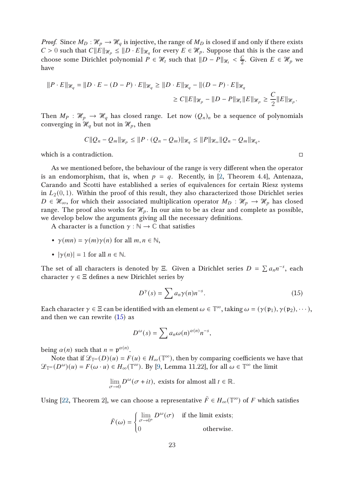*Proof.* Since  $M_D : \mathcal{H}_p \to \mathcal{H}_q$  is injective, the range of  $M_D$  is closed if and only if there exists  $C > 0$  such that  $C||E||_{\mathcal{H}_p} \le ||D \cdot E||_{\mathcal{H}_q}$  for every  $E \in \mathcal{H}_p$ . Suppose that this is the case and choose some Dirichlet polynomial  $P \in \mathcal{H}_t$  such that  $||D - P||_{\mathcal{H}_t} < \frac{C}{2}$  $\frac{C}{2}$ . Given  $E \in \mathcal{H}_p$  we have

$$
||P \cdot E||_{\mathcal{H}_q} = ||D \cdot E - (D - P) \cdot E||_{\mathcal{H}_q} \ge ||D \cdot E||_{\mathcal{H}_q} - ||(D - P) \cdot E||_{\mathcal{H}_q}
$$
  
\n
$$
\ge C ||E||_{\mathcal{H}_p} - ||D - P||_{\mathcal{H}_t} ||E||_{\mathcal{H}_p} \ge \frac{C}{2} ||E||_{\mathcal{H}_p}.
$$

Then  $M_P$  :  $\mathcal{H}_p \to \mathcal{H}_q$  has closed range. Let now  $(Q_n)_n$  be a sequence of polynomials converging in  $\mathcal{H}_q$  but not in  $\mathcal{H}_p$ , then

$$
C||Q_n-Q_m||_{\mathcal{H}_p}\leq ||P\cdot (Q_n-Q_m)||_{\mathcal{H}_q}\leq ||P||_{\mathcal{H}_{\infty}}||Q_n-Q_m||_{\mathcal{H}_q},
$$

which is a contradiction.

As we mentioned before, the behaviour of the range is very different when the operator is an endomorphism, that is, when  $p = q$ . Recently, in [\[2,](#page-26-5) Theorem 4.4], Antenaza, Carando and Scotti have established a series of equivalences for certain Riesz systems in  $L_2(0, 1)$ . Within the proof of this result, they also characterized those Dirichlet series  $D \in \mathcal{H}_{\infty}$ , for which their associated multiplication operator  $M_D : \mathcal{H}_p \to \mathcal{H}_p$  has closed range. The proof also works for  $\mathcal{H}_p$ . In our aim to be as clear and complete as possible, we develop below the arguments giving all the necessary definitions.

A character is a function  $\gamma : \mathbb{N} \to \mathbb{C}$  that satisfies

- $\gamma(mn) = \gamma(m)\gamma(n)$  for all  $m, n \in \mathbb{N}$ ,
- $|\gamma(n)| = 1$  for all  $n \in \mathbb{N}$ .

The set of all characters is denoted by Ξ. Given a Dirichlet series  $D = \sum a_n n^{-s}$ , each character  $\gamma \in \Xi$  defines a new Dirichlet series by

<span id="page-22-0"></span>
$$
D^{\gamma}(s) = \sum a_n \gamma(n) n^{-s}.
$$
 (15)

Each character  $\gamma \in \Xi$  can be identified with an element  $\omega \in \mathbb{T}^{\infty}$ , taking  $\omega = (\gamma(\mathfrak{p}_1), \gamma(\mathfrak{p}_2), \cdots)$ , and then we can rewrite  $(15)$  as

$$
D^{\omega}(s) = \sum a_n \omega(n)^{\alpha(n)} n^{-s},
$$

being  $\alpha(n)$  such that  $n = \mathfrak{p}^{\alpha(n)}$ .

Note that if  $\mathscr{L}_{\mathbb{T}^\infty}(D)(u) = F(u) \in H_\infty(\mathbb{T}^\infty)$ , then by comparing coefficients we have that  $\mathscr{L}_{\mathbb{T}^{\infty}}(D^{\omega})(u) = F(\omega \cdot u) \in H_{\infty}(\mathbb{T}^{\infty})$ . By [\[9,](#page-27-3) Lemma 11.22], for all  $\omega \in \mathbb{T}^{\infty}$  the limit

$$
\lim_{\sigma \to 0} D^{\omega}(\sigma + it)
$$
, exists for almost all  $t \in \mathbb{R}$ .

Using [\[22,](#page-27-14) Theorem 2], we can choose a representative  $\tilde{F} \in H_{\infty}(\mathbb{T}^{\infty})$  of  $F$  which satisfies

$$
\tilde{F}(\omega) = \begin{cases}\n\lim_{\sigma \to 0^+} D^{\omega}(\sigma) & \text{if the limit exists;} \\
0 & \text{otherwise.} \n\end{cases}
$$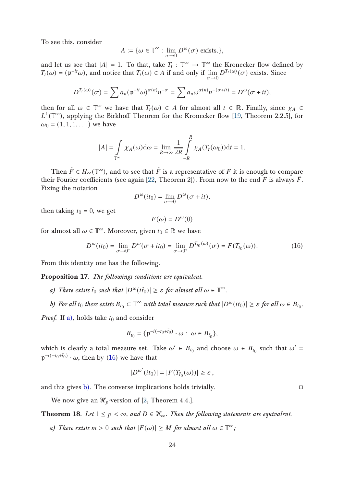To see this, consider

$$
A := \{ \omega \in \mathbb{T}^{\infty} : \lim_{\sigma \to 0} D^{\omega}(\sigma) \text{ exists.} \},
$$

and let us see that  $|A| = 1$ . To that, take  $T_t : \mathbb{T}^\infty \to \mathbb{T}^\infty$  the Kronecker flow defined by  $T_t(\omega) = (\mathfrak{p}^{-it}\omega)$ , and notice that  $T_t(\omega) \in A$  if and only if  $\lim_{\sigma \to 0} D^{T_t(\omega)}(\sigma)$  exists. Since

$$
D^{T_t(\omega)}(\sigma) = \sum a_n (\mathfrak{p}^{-it}\omega)^{\alpha(n)} n^{-\sigma} = \sum a_n \omega^{\alpha(n)} n^{-(\sigma+it)} = D^{\omega}(\sigma+it),
$$

then for all  $\omega \in \mathbb{T}^{\infty}$  we have that  $T_t(\omega) \in A$  for almost all  $t \in \mathbb{R}$ . Finally, since  $\chi_A \in$  $L^1(\mathbb{T}^\infty)$ , applying the Birkhoff Theorem for the Kronecker flow [\[19,](#page-27-2) Theorem 2.2.5], for  $\omega_0 = (1, 1, 1, ...)$  we have

$$
|A| = \int_{\mathbb{T}^{\infty}} \chi_A(\omega) d\omega = \lim_{R \to \infty} \frac{1}{2R} \int_{-R}^{R} \chi_A(T_t(\omega_0)) dt = 1.
$$

Then  $\tilde{F} \in H_{\infty}(\mathbb{T}^{\infty})$ , and to see that  $\tilde{F}$  is a representative of  $F$  it is enough to compare their Fourier coefficients (see again [\[22,](#page-27-14) Theorem 2]). From now to the end F is always  $\tilde{F}$ . Fixing the notation

$$
D^{\omega}(it_0) = \lim_{\sigma \to 0} D^{\omega}(\sigma + it),
$$

then taking  $t_0 = 0$ , we get

$$
F(\omega) = D^{\omega}(0)
$$

for almost all  $\omega \in \mathbb{T}^{\infty}$ . Moreover, given  $t_0 \in \mathbb{R}$  we have

<span id="page-23-1"></span>
$$
D^{\omega}(it_0) = \lim_{\sigma \to 0^+} D^{\omega}(\sigma + it_0) = \lim_{\sigma \to 0^+} D^{T_{t_0}(\omega)}(\sigma) = F(T_{t_0}(\omega)).
$$
 (16)

From this identity one has the following.

<span id="page-23-4"></span><span id="page-23-0"></span>Proposition 17. The followings conditions are equivalent.

- <span id="page-23-2"></span>a) There exists  $\tilde{t}_0$  such that  $|D^{\omega}(i\tilde{t}_0)| \geq \varepsilon$  for almost all  $\omega \in \mathbb{T}^{\infty}$ .
- b) For all  $t_0$  there exists  $B_{t_0} \subset \mathbb{T}^{\infty}$  with total measure such that  $|D^{\omega}(it_0)| \geq \varepsilon$  for all  $\omega \in B_{t_0}$ .

*Proof.* If [a\),](#page-23-0) holds take  $t_0$  and consider

$$
B_{t_0} = \{ \mathfrak{p}^{-i(-t_0 + \tilde{t}_0)} \cdot \omega : \omega \in B_{\tilde{t}_0} \},
$$

which is clearly a total measure set. Take  $\omega' \in B_{t_0}$  and choose  $\omega \in B_{\tilde{t}_0}$  such that  $\omega' =$  $\mathfrak{p}^{-i(-t_0+\tilde{t}_0)} \cdot \omega$ , then by [\(16\)](#page-23-1) we have that

$$
|D^{\omega'}(it_0)| = |F(T_{\tilde{t}_0}(\omega))| \geq \varepsilon,
$$

and this gives [b\).](#page-23-2) The converse implications holds trivially.

We now give an  $\mathcal{H}_p$ -version of [\[2,](#page-26-5) Theorem 4.4.].

<span id="page-23-5"></span><span id="page-23-3"></span>**Theorem 18.** Let  $1 \leq p < \infty$ , and  $D \in \mathcal{H}_{\infty}$ . Then the following statements are equivalent.

a) There exists  $m > 0$  such that  $|F(\omega)| \geq M$  for almost all  $\omega \in \mathbb{T}^{\infty}$ ;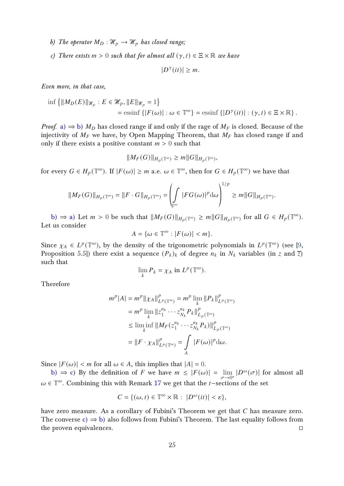- <span id="page-24-1"></span><span id="page-24-0"></span>b) The operator  $M_D : \mathcal{H}_p \longrightarrow \mathcal{H}_p$  has closed range;
- c) There exists  $m > 0$  such that for almost all  $(\gamma, t) \in \Xi \times \mathbb{R}$  we have

 $|D^{\gamma}(it)| \geq m$ .

Even more, in that case,

$$
\inf \{ \|M_D(E)\|_{\mathcal{H}_p} : E \in \mathcal{H}_p, \|E\|_{\mathcal{H}_p} = 1 \}
$$
  
= 
$$
\operatorname{essinf} \{ |F(\omega)| : \omega \in \mathbb{T}^\infty \} = \operatorname{essinf} \{ |D^\gamma(it)| : (\gamma, t) \in \Xi \times \mathbb{R} \} .
$$

*Proof.* [a\)](#page-23-3)  $\Rightarrow$  [b\)](#page-24-0)  $M_D$  has closed range if and only if the rage of  $M_F$  is closed. Because of the injectivity of  $M_F$  we have, by Open Mapping Theorem, that  $M_F$  has closed range if and only if there exists a positive constant  $m > 0$  such that

$$
||M_F(G)||_{H_p(\mathbb{T}^\infty)} \ge m||G||_{H_p(\mathbb{T}^\infty)},
$$

for every  $G \in H_p(\mathbb{T}^\infty)$ . If  $|F(\omega)| \geq m$  a.e.  $\omega \in \mathbb{T}^\infty$ , then for  $G \in H_p(\mathbb{T}^\infty)$  we have that

$$
\|M_F(G)\|_{H_p(\mathbb{T}^\infty)}=\|F\cdot G\|_{H_p(\mathbb{T}^\infty)}=\left(\int\limits_{\mathbb{T}^\infty}|FG(\omega)|^p\mathrm{d}\omega\right)^{1/p}\ge m\|G\|_{H_p(\mathbb{T}^\infty)}
$$

.

[b\)](#page-24-0)  $\Rightarrow$  [a\)](#page-23-3) Let  $m > 0$  be such that  $||M_F(G)||_{H_p(\mathbb{T}^{\infty})} \ge m||G||_{H_p(\mathbb{T}^{\infty})}$  for all  $G \in H_p(\mathbb{T}^{\infty})$ . Let us consider

$$
A = \{ \omega \in \mathbb{T}^{\infty} : |F(\omega)| < m \}.
$$

Since  $\chi_A \in L^p(\mathbb{T}^\infty)$ , by the density of the trigonometric polynomials in  $L^p(\mathbb{T}^\infty)$  (see [\[9,](#page-27-3) Proposition 5.5]) there exist a sequence  $(P_k)_k$  of degree  $n_k$  in  $N_k$  variables (in z and  $\overline{z}$ ) such that

$$
\lim_{k} P_k = \chi_A \text{ in } L^p(\mathbb{T}^\infty).
$$

Therefore

$$
m^{p}|A| = m^{p} ||\chi_{A}||_{L^{p}(\mathbb{T}^{\infty})}^{p} = m^{p} \lim_{k} ||P_{k}||_{L^{p}(\mathbb{T}^{\infty})}^{p}
$$
  
\n
$$
= m^{p} \lim_{k} ||z_{1}^{n_{k}} \cdots z_{N_{k}}^{n_{k}} P_{k}||_{L_{p}(\mathbb{T}^{\infty})}^{p}
$$
  
\n
$$
\leq \liminf_{k} ||M_{F}(z_{1}^{n_{k}} \cdots z_{N_{k}}^{n_{k}} P_{k})||_{L_{p}(\mathbb{T}^{\infty})}^{p}
$$
  
\n
$$
= ||F \cdot \chi_{A}||_{L^{p}(\mathbb{T}^{\infty})}^{p} = \int_{A} |F(\omega)|^{p} d\omega.
$$

Since  $|F(\omega)| < m$  for all  $\omega \in A$ , this implies that  $|A| = 0$ .

[b\)](#page-24-0)  $\Rightarrow$  [c\)](#page-24-1) By the definition of F we have  $m \leq |F(\omega)| = \lim_{\sigma \to 0^+} |D^{\omega}(\sigma)|$  for almost all  $\omega \in \mathbb{T}^{\infty}$ . Combining this with Remark [17](#page-23-4) we get that the *t*-sections of the set

$$
C = \{(\omega, t) \in \mathbb{T}^{\infty} \times \mathbb{R} : |D^{\omega}(it)| < \varepsilon\},\
$$

have zero measure. As a corollary of Fubini's Theorem we get that  $C$  has measure zero. The converse [c\)](#page-24-1)  $\Rightarrow$  [b\)](#page-24-0) also follows from Fubini's Theorem. The last equality follows from the proven equivalences.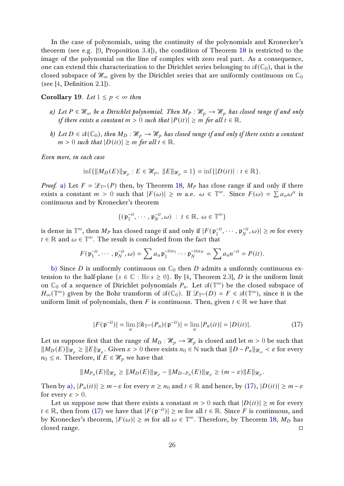In the case of polynomials, using the continuity of the polynomials and Kronecker's theorem (see e.g. [\[9,](#page-27-3) Proposition 3.4]), the condition of Theorem [18](#page-23-5) is restricted to the image of the polynomial on the line of complex with zero real part. As a consequence, one can extend this characterization to the Dirichlet series belonging to  $\mathcal{A}(\mathbb{C}_0)$ , that is the closed subspace of  $\mathcal{H}_{\infty}$  given by the Dirichlet series that are uniformly continuous on  $\mathbb{C}_0$ (see  $[4,$  Definition 2.1]).

<span id="page-25-3"></span><span id="page-25-0"></span>Corollary 19. Let  $1 \leq p < \infty$  then

- <span id="page-25-1"></span>a) Let  $P \in \mathcal{H}_{\infty}$  be a Dirichlet polynomial. Then  $M_P : \mathcal{H}_p \to \mathcal{H}_p$  has closed range if and only if there exists a constant  $m > 0$  such that  $|P(it)| \geq m$  for all  $t \in \mathbb{R}$ .
- b) Let  $D \in \mathfrak{A}(\mathbb{C}_0)$ , then  $M_D : \mathcal{H}_p \to \mathcal{H}_p$  has closed range if and only if there exists a constant  $m > 0$  such that  $|D(it)| \geq m$  for all  $t \in \mathbb{R}$ .

Even more, in each case

$$
\inf\{\|M_D(E)\|_{\mathcal{H}_p}: E \in \mathcal{H}_p, \|E\|_{\mathcal{H}_p} = 1\} = \inf\{|D(it)| : t \in \mathbb{R}\}.
$$

*Proof.* [a\)](#page-25-0) Let  $F = \mathcal{L}_{\mathbb{T}^{\infty}}(P)$  then, by Theorem [18,](#page-23-5)  $M_P$  has close range if and only if there exists a constant  $m > 0$  such that  $|F(\omega)| \ge m$  a.e.  $\omega \in \mathbb{T}^{\infty}$ . Since  $F(\omega) = \sum a_{\alpha} \omega^{\alpha}$  is continuous and by Kronecker's theorem

$$
\{(\mathfrak{p}_1^{-it},\cdots,\mathfrak{p}_N^{-it},\omega) \; : \; t\in\mathbb{R}, \; \omega\in\mathbb{T}^\infty\}
$$

is dense in  $\mathbb{T}^\infty$ , then  $M_P$  has closed range if and only if  $|F(\mathfrak{p}_1^{-it})|$  $1^{-it}, \cdots, \mathfrak{p}_N^{-it}$  $\vert \frac{-it}{N}, \omega \rangle \vert \geq m$  for every  $t \in \mathbb{R}$  and  $\omega \in \mathbb{T}^{\infty}$ . The result is concluded from the fact that

$$
F(\mathfrak{p}_1^{-it},\cdots,\mathfrak{p}_N^{-it},\omega)=\sum a_\alpha\mathfrak{p}_1^{-it\alpha_1}\cdots\mathfrak{p}_N^{-it\alpha_N}=\sum a_n n^{-it}=P(it).
$$

[b\)](#page-25-1) Since D is uniformly continuous on  $\mathbb{C}_0$  then D admits a uniformly continuous extension to the half-plane { $s \in \mathbb{C}$  : Re  $s \ge 0$ }. By [\[4,](#page-26-6) Theorem 2.3], D is the uniform limit on  $\mathbb{C}_0$  of a sequence of Dirichlet polynomials  $P_n$ . Let  $\mathcal{A}(\mathbb{T}^\infty)$  be the closed subspace of  $H_{\infty}(\mathbb{T}^{\infty})$  given by the Bohr transform of  $\mathfrak{A}(\mathbb{C}_{0})$ . If  $\mathscr{L}_{\mathbb{T}^{\infty}}(D) = F \in \mathfrak{A}(\mathbb{T}^{\infty})$ , since it is the uniform limit of polynomials, then F is continuous. Then, given  $t \in \mathbb{R}$  we have that

<span id="page-25-2"></span>
$$
|F(\mathfrak{p}^{-it})| = \lim_{n} |\mathfrak{B}_{\mathbb{T}^{\infty}}(P_n)(\mathfrak{p}^{-it})| = \lim_{n} |P_n(it)| = |D(it)|.
$$
 (17)

Let us suppose first that the range of  $M_D : \mathcal{H}_p \to \mathcal{H}_p$  is closed and let  $m > 0$  be such that  $||M_D(E)||_{\mathcal{H}_p} \ge ||E||_{\mathcal{H}_p}$ . Given  $\varepsilon > 0$  there exists  $n_0 \in \mathbb{N}$  such that  $||D - P_n||_{\mathcal{H}_{\infty}} < \varepsilon$  for every  $n_0 \leq n$ . Therefore, if  $E \in \mathcal{H}_p$  we have that

$$
||M_{P_n}(E)||_{\mathcal{H}_p} \ge ||M_D(E)||_{\mathcal{H}_p} - ||M_{D-P_n}(E)||_{\mathcal{H}_p} \ge (m - \varepsilon) ||E||_{\mathcal{H}_p}.
$$

Then by [a\),](#page-25-0)  $|P_n(it)| \geq m - \varepsilon$  for every  $n \geq n_0$  and  $t \in \mathbb{R}$  and hence, by [\(17\)](#page-25-2),  $|D(it)| \geq m - \varepsilon$ for every  $\varepsilon > 0$ .

Let us suppose now that there exists a constant  $m > 0$  such that  $|D(it)| \ge m$  for every  $t \in \mathbb{R}$ , then from [\(17\)](#page-25-2) we have that  $|F(\mathfrak{p}^{-it})| \geq m$  for all  $t \in \mathbb{R}$ . Since F is continuous, and by Kronecker's theorem,  $|F(\omega)| \ge m$  for all  $\omega \in \mathbb{T}^{\infty}$ . Therefore, by Theorem [18,](#page-23-5)  $M_D$  has closed range.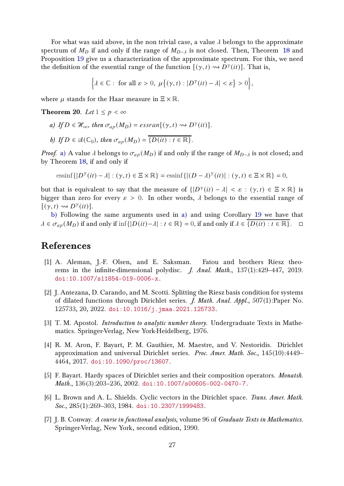For what was said above, in the non trivial case, a value  $\lambda$  belongs to the approximate spectrum of  $M_D$  if and only if the range of  $M_{D- $\lambda}$$  is not closed. Then, Theorem [18](#page-23-5) and Proposition [19](#page-25-3) give us a characterization of the approximate spectrum. For this, we need the definition of the essential range of the function  $[(\gamma, t) \leadsto D^{\gamma}(it)]$ . That is,

$$
\Big\{\lambda\in\mathbb{C}:\text{ for all }\varepsilon>0,\ \mu\big\{(\gamma,t):|D^{\gamma}(it)-\lambda|<\varepsilon\big\}>0\Big\},\
$$

where  $\mu$  stands for the Haar measure in  $\Xi \times \mathbb{R}$ .

<span id="page-26-7"></span>**Theorem 20.** Let  $1 \leq p < \infty$ 

<span id="page-26-8"></span>a) If  $D \in \mathcal{H}_{\infty}$ , then  $\sigma_{ap}(M_D) = \text{essran}[(\gamma, t) \rightsquigarrow D^{\gamma}(it)].$ 

b) If 
$$
D \in \mathcal{A}(\mathbb{C}_0)
$$
, then  $\sigma_{ap}(M_D) = \overline{\{D(it) : t \in \mathbb{R}\}}$ .

*Proof.* [a\)](#page-26-7) A value  $\lambda$  belongs to  $\sigma_{ap}(M_D)$  if and only if the range of  $M_{D-\lambda}$  is not closed; and by Theorem [18,](#page-23-5) if and only if

essinf 
$$
\{|D^{\gamma}(it) - \lambda| : (\gamma, t) \in \Xi \times \mathbb{R}\}\
$$
essinf  $\{|(D - \lambda)^{\gamma}(it)| : (\gamma, t) \in \Xi \times \mathbb{R}\}\$  = 0,

but that is equivalent to say that the measure of  $\{|D^{\gamma}(it) - \lambda| < \varepsilon : (\gamma, t) \in \Xi \times \mathbb{R}\}\)$  is bigger than zero for every  $\varepsilon > 0$ . In other words,  $\lambda$  belongs to the essential range of  $[(\gamma, t) \rightsquigarrow D^{\gamma}(it)].$ 

[b\)](#page-26-8) Following the same arguments used in [a\)](#page-26-7) and using Corollary [19](#page-25-3) we have that  $\lambda \in \sigma_{an}(M_D)$  if and only if  $\inf\{|D(it) - \lambda| : t \in \mathbb{R}\} = 0$ , if and only if  $\lambda \in \{D(it) : t \in \mathbb{R}\}$ .  $\Box$ 

### <span id="page-26-2"></span>References

- [1] A. Aleman, J.-F. Olsen, and E. Saksman. Fatou and brothers Riesz theorems in the infinite-dimensional polydisc. J. Anal. Math., 137(1):429–447, 2019. [doi:10.1007/s11854-019-0006-x](https://doi.org/10.1007/s11854-019-0006-x).
- <span id="page-26-5"></span>[2] J. Antezana, D. Carando, and M. Scotti. Splitting the Riesz basis condition for systems of dilated functions through Dirichlet series. J. Math. Anal. Appl., 507(1):Paper No. 125733, 20, 2022. [doi:10.1016/j.jmaa.2021.125733](https://doi.org/10.1016/j.jmaa.2021.125733).
- <span id="page-26-0"></span>[3] T. M. Apostol. *Introduction to analytic number theory*. Undergraduate Texts in Mathematics. Springer-Verlag, New York-Heidelberg, 1976.
- <span id="page-26-6"></span>[4] R. M. Aron, F. Bayart, P. M. Gauthier, M. Maestre, and V. Nestoridis. Dirichlet approximation and universal Dirichlet series. Proc. Amer. Math. Soc., 145(10):4449– 4464, 2017. [doi:10.1090/proc/13607](https://doi.org/10.1090/proc/13607).
- <span id="page-26-1"></span>[5] F. Bayart. Hardy spaces of Dirichlet series and their composition operators. Monatsh. Math., 136(3):203–236, 2002. [doi:10.1007/s00605-002-0470-7](https://doi.org/10.1007/s00605-002-0470-7).
- <span id="page-26-3"></span>[6] L. Brown and A. L. Shields. Cyclic vectors in the Dirichlet space. Trans. Amer. Math. Soc., 285(1):269-303, 1984. [doi:10.2307/1999483](https://doi.org/10.2307/1999483).
- <span id="page-26-4"></span>[7] J. B. Conway. A course in functional analysis, volume 96 of Graduate Texts in Mathematics. Springer-Verlag, New York, second edition, 1990.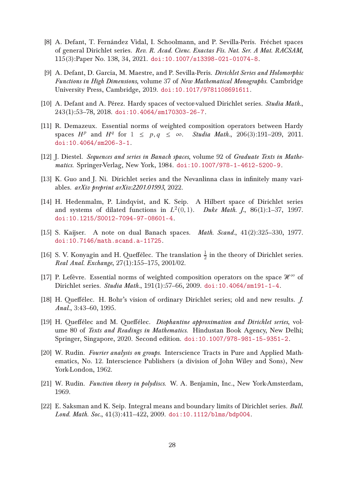- <span id="page-27-12"></span>[8] A. Defant, T. Fernández Vidal, I. Schoolmann, and P. Sevilla-Peris. Fréchet spaces of general Dirichlet series. Rev. R. Acad. Cienc. Exactas Fís. Nat. Ser. A Mat. RACSAM, 115(3):Paper No. 138, 34, 2021. [doi:10.1007/s13398-021-01074-8](https://doi.org/10.1007/s13398-021-01074-8).
- <span id="page-27-3"></span>[9] A. Defant, D. García, M. Maestre, and P. Sevilla-Peris. Dirichlet Series and Holomorphic Functions in High Dimensions, volume 37 of New Mathematical Monographs. Cambridge University Press, Cambridge, 2019. [doi:10.1017/9781108691611](https://doi.org/10.1017/9781108691611).
- <span id="page-27-9"></span><span id="page-27-5"></span>[10] A. Defant and A. Pérez. Hardy spaces of vector-valued Dirichlet series. Studia Math., 243(1):53–78, 2018. [doi:10.4064/sm170303-26-7](https://doi.org/10.4064/sm170303-26-7).
- [11] R. Demazeux. Essential norms of weighted composition operators between Hardy spaces  $H^p$  and  $H^q$  for  $1 \leq p, q \leq \infty$ . Studia Math., 206(3):191-209, 2011. [doi:10.4064/sm206-3-1](https://doi.org/10.4064/sm206-3-1).
- <span id="page-27-10"></span><span id="page-27-8"></span>[12] J. Diestel. Sequences and series in Banach spaces, volume 92 of Graduate Texts in Mathematics. Springer-Verlag, New York, 1984. [doi:10.1007/978-1-4612-5200-9](https://doi.org/10.1007/978-1-4612-5200-9).
- <span id="page-27-0"></span>[13] K. Guo and J. Ni. Dirichlet series and the Nevanlinna class in infinitely many variables. arXiv preprint arXiv:2201.01993, 2022.
- [14] H. Hedenmalm, P. Lindqvist, and K. Seip. A Hilbert space of Dirichlet series and systems of dilated functions in  $L^2(0,1)$ . Duke Math. J., 86(1):1-37, 1997. [doi:10.1215/S0012-7094-97-08601-4](https://doi.org/10.1215/S0012-7094-97-08601-4).
- <span id="page-27-11"></span>[15] S. Kaijser. A note on dual Banach spaces. *Math. Scand.*, 41(2):325–330, 1977. [doi:10.7146/math.scand.a-11725](https://doi.org/10.7146/math.scand.a-11725).
- <span id="page-27-1"></span>[16] S. V. Konyagin and H. Queffélec. The translation  $\frac{1}{2}$  in the theory of Dirichlet series. Real Anal. Exchange, 27(1):155–175, 2001/02.
- <span id="page-27-13"></span><span id="page-27-4"></span>[17] P. Lefèvre. Essential norms of weighted composition operators on the space  $\mathcal{H}^{\infty}$  of Dirichlet series. Studia Math., 191(1):57–66, 2009. [doi:10.4064/sm191-1-4](https://doi.org/10.4064/sm191-1-4).
- <span id="page-27-2"></span>[18] H. Queffélec. H. Bohr's vision of ordinary Dirichlet series; old and new results. J. Anal., 3:43–60, 1995.
- [19] H. Queffélec and M. Queffélec. Diophantine approximation and Dirichlet series, volume 80 of Texts and Readings in Mathematics. Hindustan Book Agency, New Delhi; Springer, Singapore, 2020. Second edition. [doi:10.1007/978-981-15-9351-2](https://doi.org/10.1007/978-981-15-9351-2).
- <span id="page-27-6"></span>[20] W. Rudin. Fourier analysis on groups. Interscience Tracts in Pure and Applied Mathematics, No. 12. Interscience Publishers (a division of John Wiley and Sons), New York-London, 1962.
- <span id="page-27-14"></span><span id="page-27-7"></span>[21] W. Rudin. Function theory in polydiscs. W. A. Benjamin, Inc., New York-Amsterdam, 1969.
- [22] E. Saksman and K. Seip. Integral means and boundary limits of Dirichlet series. Bull. Lond. Math. Soc., 41(3):411–422, 2009. [doi:10.1112/blms/bdp004](https://doi.org/10.1112/blms/bdp004).